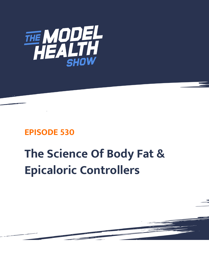

# **EPISODE 530**

# **The Science Of Body Fat & Epicaloric Controllers**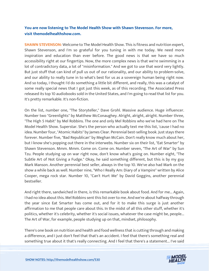# **You are now listening to The Model Health Show with Shawn Stevenson. For more, visit themodelhealthshow.com.**

**SHAWN STEVENSON:** Welcome to The Model Health Show. This is fitness and nutrition expert, Shawn Stevenson, and I'm so grateful for you tuning in with me today. We need more inspiration and education than ever before. The good news is that we have so much accessibility right at our fingertips. Now, the more complex news is that we're swimming in a lot of contradictory data, a lot of "misinformation." And we got to use that word very lightly. But just stuff that can kind of pull us out of our rationality, and our ability to problem-solve, and our ability to really tune in to what's best for us as a sovereign human being right now. And so today, I thought I'd do something a little bit different, and really, this was a catalyst of some really special news that I got just this week, as of this recording. The Associated Press released its top 10 audiobooks sold in the United States, and I'm going to read that list for you. It's pretty remarkable. It's non-fiction.

On the list, number one, "The Storyteller," Dave Grohl. Massive audience. Huge influencer. Number two "Greenlights" by Matthew McConaughey. Alright, alright, alright. Number three, "The High 5 Habit" by Mel Robbins. The one and only Mel Robbins who we've had here on The Model Health Show. Superstar. She's the person who actually text me this list, 'cause I had no idea. Number four, "Atomic Habits" by James Clear. Perennial best-selling book. Just stays there forever. Number five, "Bad Republican" by Meghan McCain. Don't really know much about her, but I know she's popping out there in the interwebs. Number six on their list, "Eat Smarter" by Shawn Stevenson. Mmm. Mmm. Come on. Come on. Number seven, "The Art of War" by Sun Tzu. People studying up on war right now, don't know what's going on. Number eight, "The Subtle Art of Not Giving a Fudge." Okay, he said something different, but this is by my guy Mark Manson. Another perennial best seller, always in the top 10. We've also had Mark on the show a while back as well. Number nine, "Who I Really Am: Diary of a Vampire" written by Alice Cooper, mega rock star. Number 10, "Can't Hurt Me" by David Goggins, another perennial bestseller.

And right there, sandwiched in there, is this remarkable book about food. And for me... Again, I had no idea about this. Mel Robbins sent this list over to me. And we're about halfway through the year since Eat Smarter has come out, and for it to make this surge is just another affirmation to me that people care about this. In the midst of all this other stuff, whether it's politics, whether it's celebrity, whether it's social issues, whatever the case might be, people... The Art of War, for example, people studying up on that, mindset, philosophy.

There's one book on nutrition and health and food wellness that is cutting through and making a difference, and I just don't feel that that's an accident. I feel that there's something real and [something true about it that](https://themodelhealthshow.com/epicaloric-controllers/)'[s really connecting. And I feel that there](https://themodelhealthshow.com/epicaloric-controllers/)'[s a statement... I](https://themodelhealthshow.com/epicaloric-controllers/)'[ve said](https://themodelhealthshow.com/epicaloric-controllers/) 

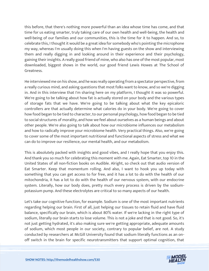this before, that there's nothing more powerful than an idea whose time has come, and that time for us eating smarter, truly taking care of our own health and well-being, the health and well-being of our families and our communities, this is the time for it to happen. And so, to celebrate this, I thought it would be a great idea for somebody who's pointing the microphone my way, whereas I'm usually doing this when I'm having guests on the show and interviewing them and really digging in and looking around in their experience and their psychology, gaining their insights. A really good friend of mine, who also has one of the most popular, most downloaded, biggest shows in the world, our good friend Lewis Howes at The School of Greatness.

He interviewed me on his show, and he was really operating from a spectator perspective, from a really curious mind, and asking questions that most folks want to know, and so we're digging in. And in this interview that I'm sharing here on my platform, I thought it was so powerful. We're going to be talking about how fat is actually stored on your body and the various types of storage fats that we have. We're going to be talking about what the key epicaloric controllers are that actually determine what calories do in your body. We're going to cover how food began to be tied to character, to our personal psychology, how food began to be tied to social structures of morality, and how we feel about ourselves as a human beings and about other people. We're also going to talk about how our microbiome influences our metabolism and how to radically improve your microbiome health. Very practical things. Also, we're going to cover some of the most important nutritional and functional aspects of stress and what we can do to improve our resilience, our mental health, and our metabolism.

This is absolutely packed with insights and good vibes, and I really hope that you enjoy this. And thank you so much for celebrating this moment with me. Again, Eat Smarter, top 10 in the United States of all non-fiction books on Audible. Alright, so check out that audio version of Eat Smarter. Keep that momentum rolling. And also, I want to hook you up today with something that you can get access to for free, and it has a lot to do with the health of our mitochondria, it has a lot to do with the health of our nervous system, with our endocrine system. Literally, how our body does, pretty much every process is driven by the sodiumpotassium pump. And these electrolytes are critical to so many aspects of our health.

Let's take our cognitive function, for example. Sodium is one of the most important nutrients regarding helping our brain. First of all, just helping our tissues to retain fluid and have fluid balance, specifically our brain, which is about 80% water. If we're lacking in the right type of sodium, literally our brain starts to lose volume. This is not a joke and that is not good. So, it's not just getting hydrated, it's also making sure we're getting appropriate, adequate amounts of sodium, which most people in our society, contrary to popular belief, are not. A study conducted by researchers at McGill University found that sodium literally functions as an onoff switch in the brain for specific neurotransmitters that support optimal cognition, that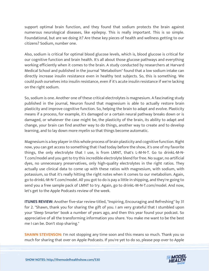support optimal brain function, and they found that sodium protects the brain against numerous neurological diseases, like epilepsy. This is really important. This is so simple. Foundational, but are we doing it? Are these key pieces of health and wellness getting to our citizens? Sodium, number one.

Also, sodium is critical for optimal blood glucose levels, which is, blood glucose is critical for our cognitive function and brain health. It's all about those glucose pathways and everything working efficiently when it comes to the brain. A study conducted by researchers at Harvard Medical School and published in the journal "Metabolism" found that a low sodium intake can directly increase insulin resistance even in healthy test subjects. So, this is something. We could push ourselves into insulin resistance, even if it's acute insulin resistance if we're lacking on the right sodium.

So, sodium is one. Another one of these critical electrolytes is magnesium. A fascinating study published in the journal, Neuron found that magnesium is able to actually restore brain plasticity and improve cognitive function. So, helping the brain to adapt and evolve. Plasticity means if a process, for example, it's damaged or a certain neural pathway breaks down or is damaged, or whatever the case might be, the plasticity of the brain, its ability to adapt and change, your brain can find another way to do things, another way to create and to develop learning, and to lay down more myelin so that things become automatic.

Magnesium is a key player in this whole process of brain plasticity and cognitive function. Right now, you can get access to something that I had today before the show, it's one of my favorite things, the only electrolyte that I use, is from LMNT, that's L-M-N-T. Go to drinkL-M-N-T.com/model and you get to try this incredible electrolyte blend for free. No sugar, no artificial dyes, no unnecessary preservatives, only high-quality electrolytes in the right ratios. They actually use clinical data to come up with these ratios with magnesium, with sodium, with potassium, so that it's really hitting the right notes when it comes to our metabolism. Again, go to drinkL-M-N-T.com/model. All you got to do is pay a little in shipping, and they're going to send you a free sample pack of LMNT to try. Again, go to drinkL-M-N-T.com/model. And now, let's get to the Apple Podcasts review of the week.

**ITUNES REVIEW:** Another five-star review titled, "Inspiring, Encouraging and Refreshing" by 31 for 2. "Shawn, thank you for sharing the gift of you. I am very grateful that I stumbled upon your 'Sleep Smarter' book a number of years ago, and then this year found your podcast. So appreciative of all the transforming information you share. You make me want to be the best me I can be. Don't stop sharing."

**SHAWN STEVENSON:** I'm not stopping any time soon and this means so much. Thank you so much for sharing that over on Apple Podcasts. If you're yet to do so, please pop over to Apple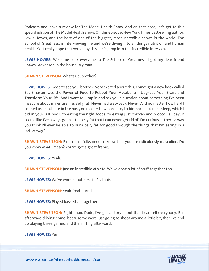Podcasts and leave a review for The Model Health Show. And on that note, let's get to this special edition of The Model Health Show. On this episode, New York Times best-selling author, Lewis Howes, and the host of one of the biggest, most incredible shows in the world, The School of Greatness, is interviewing me and we're diving into all things nutrition and human health. So, I really hope that you enjoy this. Let's jump into this incredible interview.

**LEWIS HOWES:** Welcome back everyone to The School of Greatness. I got my dear friend Shawn Stevenson in the house. My man.

**SHAWN STEVENSON:** What's up, brother?

**LEWIS HOWES:** Good to see you, brother. Very excited about this. You've got a new book called Eat Smarter: Use the Power of Food to Reboot Your Metabolism, Upgrade Your Brain, and Transform Your Life. And I want to jump in and ask you a question about something I've been insecure about my entire life. Belly fat. Never had a six-pack. Never. And no matter how hard I trained as an athlete in the past, no matter how hard I try to bio-hack, optimize sleep, which I did in your last book, to eating the right foods, to eating just chicken and broccoli all day, it seems like I've always got a little belly fat that I can never get rid of. I'm curious, is there a way you think I'll ever be able to burn belly fat for good through the things that I'm eating in a better way?

**SHAWN STEVENSON:** First of all, folks need to know that you are ridiculously masculine. Do you know what I mean? You've got a great frame.

**LEWIS HOWES:** Yeah.

**SHAWN STEVENSON:** Just an incredible athlete. We've done a lot of stuff together too.

**LEWIS HOWES:** We've worked out here in St. Louis.

**SHAWN STEVENSON: Yeah. Yeah... And...** 

**LEWIS HOWES:** Played basketball together.

**SHAWN STEVENSON:** Right, man. Dude, I've got a story about that I can tell everybody. But afterward driving home, because we were just going to shoot around a little bit, then we end up playing three games, and then lifting afterward.

**LEWIS HOWES:** Yes.

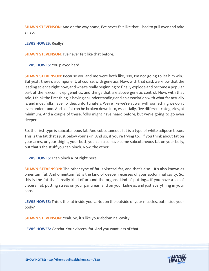**SHAWN STEVENSON:** And on the way home, I've never felt like that. I had to pull over and take a nap.

**LEWIS HOWES:** Really?

**SHAWN STEVENSON:** I've never felt like that before.

**LEWIS HOWES:** You played hard.

**SHAWN STEVENSON:** Because you and me were both like, "No, I'm not going to let him win." But yeah, there's a component, of course, with genetics. Now, with that said, we know that the leading science right now, and what's really beginning to finally explode and become a popular part of the lexicon, is epigenetics, and things that are above genetic control. Now, with that said, I think the first thing is having an understanding and an association with what fat actually is, and most folks have no idea, unfortunately. We're like we're at war with something we don't even understand. And so, fat can be broken down into, essentially, five different categories, at minimum. And a couple of these, folks might have heard before, but we're going to go even deeper.

So, the first type is subcutaneous fat. And subcutaneous fat is a type of white adipose tissue. This is the fat that's just below your skin. And so, if you're trying to... If you think about fat on your arms, or your thighs, your butt, you can also have some subcutaneous fat on your belly, but that's the stuff you can pinch. Now, the other...

**LEWIS HOWES:** I can pinch a lot right here.

**SHAWN STEVENSON:** The other type of fat is visceral fat, and that's also... It's also known as omentum fat. And omentum fat is the kind of deeper recesses of your abdominal cavity. So, this is the fat that's really kind of around the organs, kind of putting... If you have a lot of visceral fat, putting stress on your pancreas, and on your kidneys, and just everything in your core.

**LEWIS HOWES:** This is the fat inside your... Not on the outside of your muscles, but inside your body?

**SHAWN STEVENSON:** Yeah. So, it's like your abdominal cavity.

**LEWIS HOWES:** Gotcha. Your visceral fat. And you want less of that.

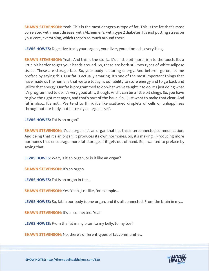**SHAWN STEVENSON:** Yeah. This is the most dangerous type of fat. This is the fat that's most correlated with heart disease, with Alzheimer's, with type 2 diabetes. It's just putting stress on your core, everything, which there's so much around there.

**LEWIS HOWES:** Digestive tract, your organs, your liver, your stomach, everything.

**SHAWN STEVENSON:** Yeah. And this is the stuff... It's a little bit more firm to the touch. It's a little bit harder to get your hands around. So, these are both still two types of white adipose tissue. These are storage fats. So, your body is storing energy. And before I go on, let me preface by saying this. Our fat is actually amazing. It's one of the most important things that have made us the humans that we are today, is our ability to store energy and to go back and utilize that energy. Our fat is programmed to do what we've taught it to do. It's just doing what it's programmed to do. It's very good at it, though. And it can be a little bit clingy. So, you have to give the right messages, and that's part of the issue. So, I just want to make that clear. And fat is also... It's not... We tend to think it's like scattered droplets of cells or unhappiness throughout our body, but it's really an organ itself.

**LEWIS HOWES:** Fat is an organ?

**SHAWN STEVENSON:** It's an organ. It's an organ that has this interconnected communication. And being that it's an organ, it produces its own hormones. So, it's making... Producing more hormones that encourage more fat storage, if it gets out of hand. So, I wanted to preface by saying that.

**LEWIS HOWES:** Wait, is it an organ, or is it like an organ?

**SHAWN STEVENSON: It's an organ.** 

**LEWIS HOWES:** Fat is an organ in the...

**SHAWN STEVENSON:** Yes. Yeah. Just like, for example...

**LEWIS HOWES:** So, fat in our body is one organ, and it's all connected. From the brain in my...

**SHAWN STEVENSON: It's all connected. Yeah.** 

LEWIS HOWES: From the fat in my brain to my belly, to my toe?

**SHAWN STEVENSON:** No, there's different types of fat communities.

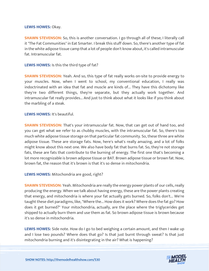#### **LEWIS HOWES:** Okay.

**SHAWN STEVENSON:** So, this is another conversation. I go through all of these; I literally call it "The Fat Communities" in Eat Smarter. I break this stuff down. So, there's another type of fat in the white adipose tissue camp that a lot of people don't know about, it's called intramuscular fat. Intramuscular fat.

**LEWIS HOWES:** Is this the third type of fat?

**SHAWN STEVENSON:** Yeah. And so, this type of fat really works on-site to provide energy to your muscles. Now, when I went to school, my conventional education, I really was indoctrinated with an idea that fat and muscle are kinds of... They have this dichotomy like they're two different things, they're separate, but they actually work together. And intramuscular fat really provides... And just to think about what it looks like if you think about the marbling of a steak.

#### **LEWIS HOWES:** It's beautiful.

**SHAWN STEVENSON:** That's your intramuscular fat. Now, that can get out of hand too, and you can get what we refer to as chubby muscles, with the intramuscular fat. So, there's too much white adipose tissue storage on that particular fat community. So, these three are white adipose tissue. These are storage fats. Now, here's what's really amazing, and a lot of folks might know about this next one. We also have body fat that burns fat. So, they're not storage fats, these are fats that contribute to the burning of energy. The first one that's becoming a lot more recognizable is brown adipose tissue or BAT. Brown adipose tissue or brown fat. Now, brown fat, the reason that it's brown is that it's so dense in mitochondria.

# **LEWIS HOWES:** Mitochondria are good, right?

**SHAWN STEVENSON:** Yeah. Mitochondria are really the energy power plants of our cells, really producing the energy. When we talk about having energy, these are the power plants creating that energy, and mitochondria is where your fat actually gets burned. So, folks don't... We're taught these diet paradigms, like, "Where the... How does it work? Where does the fat go? How does it get burned?" Your mitochondria, actually, are the place where the triglycerides get shipped to actually burn them and use them as fat. So brown adipose tissue is brown because it's so dense in mitochondria.

**LEWIS HOWES:** Side note. How do I go to bed weighing a certain amount, and then I wake up and I lose two pounds? Where does that go? Is that just burnt through sweat? Is that just mitochondria burning and it's disintegrating in the air? What is happening?

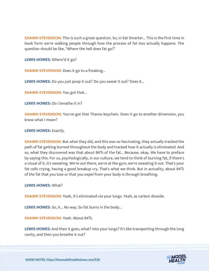**SHAWN STEVENSON:** This is such a great question. So, in Eat Smarter... This is the first time in book form we're walking people through how the process of fat loss actually happens. The question should be like, "Where the hell does fat go?"

**LEWIS HOWES:** Where'd it go?

**SHAWN STEVENSON:** Does it go to a freaking...

**LEWIS HOWES:** Do you just poop it out? Do you sweat it out? Does it...

**SHAWN STEVENSON: You got that...** 

**LEWIS HOWES:** Do I breathe it in?

**SHAWN STEVENSON:** You've got that Thanos keychain. Does it go to another dimension, you know what I mean?

**LEWIS HOWES:** Exactly.

**SHAWN STEVENSON:** But what they did, and this was so fascinating, they actually tracked the path of fat getting burned throughout the body and tracked how it actually is eliminated. And so, what they discovered was that about 84% of the fat... Because, okay. We have to preface by saying this. For us, psychologically, in our culture, we tend to think of burning fat, if there's a visual of it, it's sweating. We're out there, we're at the gym, we're sweating it out. That's your fat cells crying, having a good breakup cry. That's what we think. But in actuality, about 84% of the fat that you lose or that you expel from your body is through breathing.

**LEWIS HOWES:** What?

**SHAWN STEVENSON:** Yeah, it's eliminated via your lungs. Yeah, as carbon dioxide.

**LEWIS HOWES:** So, it... No way. So fat burns in the body...

**SHAWN STEVENSON:** Yeah. About 84%.

**LEWIS HOWES:** And then it goes, what? Into your lungs? It's like transporting through the lung cavity, and then you breathe it out?

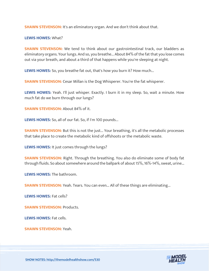**SHAWN STEVENSON:** It's an eliminatory organ. And we don't think about that.

**LEWIS HOWES:** What?

**SHAWN STEVENSON:** We tend to think about our gastrointestinal track, our bladders as eliminatory organs. Your lungs. And so, you breathe... About 84% of the fat that you lose comes out via your breath, and about a third of that happens while you're sleeping at night.

**LEWIS HOWES:** So, you breathe fat out, that's how you burn it? How much...

**SHAWN STEVENSON:** Cesar Millan is the Dog Whisperer. You're the fat whisperer.

**LEWIS HOWES:** Yeah. I'll just whisper. Exactly. I burn it in my sleep. So, wait a minute. How much fat do we burn through our lungs?

**SHAWN STEVENSON:** About 84% of it.

**LEWIS HOWES:** So, all of our fat. So, if I'm 100 pounds...

**SHAWN STEVENSON:** But this is not the just... Your breathing, it's all the metabolic processes that take place to create the metabolic kind of offshoots or the metabolic waste.

**LEWIS HOWES:** It just comes through the lungs?

**SHAWN STEVENSON:** Right. Through the breathing. You also do eliminate some of body fat through fluids. So about somewhere around the ballpark of about 15%, 16%-14%, sweat, urine...

**LEWIS HOWES:** The bathroom.

**SHAWN STEVENSON:** Yeah. Tears. You can even... All of these things are eliminating...

**LEWIS HOWES:** Fat cells?

**SHAWN STEVENSON:** Products.

**LEWIS HOWES:** Fat cells.

**SHAWN STEVENSON:** Yeah.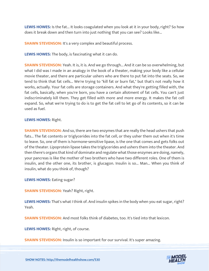**LEWIS HOWES:** Is the fat... It looks coagulated when you look at it in your body, right? So how does it break down and then turn into just nothing that you can see? Looks like...

**SHAWN STEVENSON:** It's a very complex and beautiful process.

**LEWIS HOWES:** The body, is fascinating what it can do.

**SHAWN STEVENSON:** Yeah. It is, it is. And we go through... And it can be so overwhelming, but what I did was I made in an analogy in the book of a theater, making your body like a cellular movie theater, and there are particular ushers who are there to put fat into the seats. So, we tend to think that fat cells... We're trying to "kill fat or burn fat," but that's not really how it works, actually. Your fat cells are storage containers. And what they're getting filled with, the fat cells, basically, when you're born, you have a certain allotment of fat cells. You can't just indiscriminately kill them. They get filled with more and more energy. It makes the fat cell expand. So, what we're trying to do is to get the fat cell to let go of its contents, so it can be used as fuel.

# **LEWIS HOWES:** Right.

**SHAWN STEVENSON:** And so, there are two enzymes that are really the head ushers that push fats... The fat contents or triglycerides into the fat cell, or they usher them out when it's time to leave. So, one of them is hormone-sensitive lipase, is the one that comes and gets folks out of the theater. Lipoprotein lipase takes the triglycerides and ushers them into the theater. And then there's organs that kind of dominate and regulate what those enzymes are doing, namely, your pancreas is like the mother of two brothers who have two different roles. One of them is insulin, and the other one, its brother, is glucagon. Insulin is so... Man... When you think of insulin, what do you think of, though?

**LEWIS HOWES:** Eating sugar?

**SHAWN STEVENSON:** Yeah? Right, right.

**LEWIS HOWES:** That's what I think of. And insulin spikes in the body when you eat sugar, right? Yeah.

**SHAWN STEVENSON:** And most folks think of diabetes, too. It's tied into that lexicon.

**LEWIS HOWES:** Right, right, of course.

**SHAWN STEVENSON:** Insulin is so important for our survival. It's super amazing.

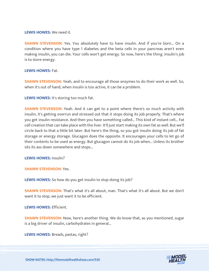**LEWIS HOWES:** We need it.

**SHAWN STEVENSON:** Yes. You absolutely have to have insulin. And if you're born... On a condition where you have type 1 diabetes and the beta cells in your pancreas aren't even making insulin, you can die. Your cells won't get energy. So now, here's the thing. Insulin's job is to store energy.

#### **LEWIS HOWES:** Fat.

**SHAWN STEVENSON:** Yeah, and to encourage all those enzymes to do their work as well. So, when it's out of hand, when insulin is too active, it can be a problem.

**LEWIS HOWES:** It's storing too much fat.

**SHAWN STEVENSON:** Yeah. And it can get to a point where there's so much activity with insulin, it's getting overrun and stressed out that it stops doing its job properly. That's where you get insulin resistance. And then you have something called... This kind of instant cell... Fat cell creation that can take place with the liver. It'll just start making its own fat as well. But we'll circle back to that a little bit later. But here's the thing, so you got insulin doing its job of fat storage or energy storage. Glucagon does the opposite. It encourages your cells to let go of their contents to be used as energy. But glucagon cannot do its job when... Unless its brother sits its ass down somewhere and stops...

**LEWIS HOWES:** Insulin?

**SHAWN STEVENSON:** Yes.

**LEWIS HOWES:** So how do you get insulin to stop doing its job?

**SHAWN STEVENSON:** That's what it's all about, man. That's what it's all about. But we don't want it to stop, we just want it to be efficient.

**LEWIS HOWES:** Efficient.

**SHAWN STEVENSON:** Now, here's another thing. We do know that, as you mentioned, sugar is a big driver of insulin, carbohydrates in general...

**LEWIS HOWES:** Breads, pastas, right?

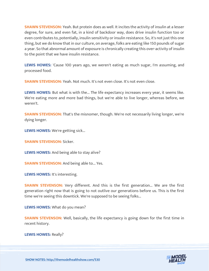**SHAWN STEVENSON:** Yeah. But protein does as well. It incites the activity of insulin at a lesser degree, for sure, and even fat, in a kind of backdoor way, does drive insulin function too or even contributes to, potentially, insulin sensitivity or insulin resistance. So, it's not just this one thing, but we do know that in our culture, on average, folks are eating like 150 pounds of sugar a year. So that abnormal amount of exposure is chronically creating this over-activity of insulin to the point that we have insulin resistance.

**LEWIS HOWES:** 'Cause 100 years ago, we weren't eating as much sugar, I'm assuming, and processed food.

**SHAWN STEVENSON:** Yeah. Not much. It's not even close. It's not even close.

**LEWIS HOWES:** But what is with the... The life expectancy increases every year, it seems like. We're eating more and more bad things, but we're able to live longer, whereas before, we weren't.

**SHAWN STEVENSON:** That's the misnomer, though. We're not necessarily living longer, we're dying longer.

**LEWIS HOWES:** We're getting sick...

**SHAWN STEVENSON:** Sicker.

**LEWIS HOWES:** And being able to stay alive?

**SHAWN STEVENSON:** And being able to... Yes.

**LEWIS HOWES:** It's interesting.

**SHAWN STEVENSON:** Very different. And this is the first generation... We are the first generation right now that is going to not outlive our generations before us. This is the first time we're seeing this downtick. We're supposed to be seeing folks...

**LEWIS HOWES:** What do you mean?

**SHAWN STEVENSON:** Well, basically, the life expectancy is going down for the first time in recent history.

**LEWIS HOWES:** Really?

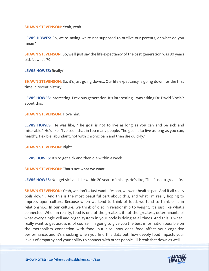**SHAWN STEVENSON:** Yeah, yeah.

**LEWIS HOWES:** So, we're saying we're not supposed to outlive our parents, or what do you mean?

**SHAWN STEVENSON:** So, we'll just say the life expectancy of the past generation was 80 years old. Now it's 79.

**LEWIS HOWES:** Really?

**SHAWN STEVENSON:** So, it's just going down... Our life expectancy is going down for the first time in recent history.

**LEWIS HOWES:** Interesting. Previous generation. It's interesting, I was asking Dr. David Sinclair about this.

**SHAWN STEVENSON:** I love him.

**LEWIS HOWES:** He was like, "The goal is not to live as long as you can and be sick and miserable." He's like, "I've seen that in too many people. The goal is to live as long as you can, healthy, flexible, abundant, not with chronic pain and then die quickly."

**SHAWN STEVENSON:** Right.

**LEWIS HOWES:** It's to get sick and then die within a week.

**SHAWN STEVENSON:** That's not what we want.

**LEWIS HOWES:** Not get sick and die within 20 years of misery. He's like, "That's not a great life."

**SHAWN STEVENSON:** Yeah, we don't... Just want lifespan, we want health span. And it all really boils down... And this is the most beautiful part about this, and what I'm really hoping to impress upon culture. Because when we tend to think of food, we tend to think of it in relationship... In our culture, we think of diet in relationship to weight, it's just like what's connected. When in reality, food is one of the greatest, if not the greatest, determinants of what every single cell and organ system in your body is doing at all times. And this is what I really want to get across is, of course, I'm going to give you the best information possible on the metabolism connection with food, but also, how does food affect your cognitive performance, and it's shocking when you find this data out, how deeply food impacts your levels of empathy and your ability to connect with other people. I'll break that down as well.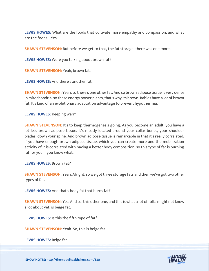**LEWIS HOWES:** What are the foods that cultivate more empathy and compassion, and what are the foods... Yes.

**SHAWN STEVENSON:** But before we get to that, the fat storage, there was one more.

**LEWIS HOWES:** Were you talking about brown fat?

**SHAWN STEVENSON: Yeah, brown fat.** 

**LEWIS HOWES:** And there's another fat.

**SHAWN STEVENSON:** Yeah, so there's one other fat. And so brown adipose tissue is very dense in mitochondria, so these energy power plants, that's why its brown. Babies have a lot of brown fat. It's kind of an evolutionary adaptation advantage to prevent hypothermia.

**LEWIS HOWES:** Keeping warm.

**SHAWN STEVENSON:** It's to keep thermogenesis going. As you become an adult, you have a lot less brown adipose tissue. It's mostly located around your collar bones, your shoulder blades, down your spine. And brown adipose tissue is remarkable in that it's really correlated, if you have enough brown adipose tissue, which you can create more and the mobilization activity of it is correlated with having a better body composition, so this type of fat is burning fat for you if you know what...

#### **LEWIS HOWES:** Brown Fat?

**SHAWN STEVENSON:** Yeah. Alright, so we got three storage fats and then we've got two other types of fat.

**LEWIS HOWES:** And that's body fat that burns fat?

**SHAWN STEVENSON:** Yes. And so, this other one, and this is what a lot of folks might not know a lot about yet, is beige fat.

**LEWIS HOWES:** Is this the fifth type of fat?

**SHAWN STEVENSON:** Yeah. So, this is beige fat.

**LEWIS HOWES:** Beige fat.

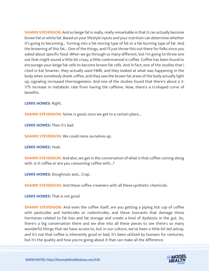**SHAWN STEVENSON:** And so beige fat is really, really remarkable in that it can actually become brown fat or white fat. Based on your lifestyle inputs and your nutrition can determine whether it's going to becoming... Turning into a fat-storing type of fat or a fat-burning type of fat. And the browning of this fat... One of the things, and I'll just throw this out there for folks since you asked about specific food. When we go through so many different, but I'm going to throw one out that might sound a little bit crazy, a little controversial is coffee. Coffee has been found to encourage your beige fat cells to become brown fat cells. And in fact, one of the studies that I cited in Eat Smarter, they actually used FMRI, and they looked at what was happening in the body when somebody drank coffee, and they saw the brown fat areas of the body actually light up, signaling increased thermogenesis. And one of the studies found that there's about a 3- 11% increase in metabolic rate from having the caffeine. Now, there's a U-shaped curve of benefits.

#### **LEWIS HOWES:** Right.

**SHAWN STEVENSON:** Some is good, once we get to a certain place...

**LEWIS HOWES:** Then it's bad.

**SHAWN STEVENSON:** We could mess ourselves up.

**LEWIS HOWES:** Yeah.

**SHAWN STEVENSON:** And also, we get in the conversation of what is that coffee coming along with. Is it coffee or are you consuming coffee with...?

**LEWIS HOWES:** Doughnuts and… Crap.

**SHAWN STEVENSON:** And these coffee creamers with all these synthetic chemicals.

**LEWIS HOWES:** That is not good.

**SHAWN STEVENSON:** And even the coffee itself, are you getting a piping hot cup of coffee with pesticides and herbicides or rodenticides, and these toxicants that damage these hormones related to fat loss and fat storage and create a kind of dysbiosis in the gut. So, there's a big conversation there and we dive into all these pieces to see there's so many wonderful things that we have access to, but in our culture, we've been a little bit led astray, and it's not that coffee is inherently good or bad, it's been utilized by humans for centuries, but it's the quality and how you're going about it that can make all the difference.

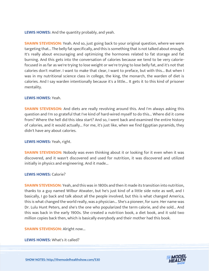**LEWIS HOWES:** And the quantity probably, and yeah.

**SHAWN STEVENSON:** Yeah. And so, just going back to your original question, where we were targeting that... The belly fat specifically, and this is something that is not talked about enough. It's really about encouraging and optimizing the hormones related to fat storage and fat burning. And this gets into the conversation of calories because we tend to be very caloriefocused in as far as we're trying to lose weight or we're trying to lose belly fat, and it's not that calories don't matter. I want to make that clear, I want to preface, but with this... But when I was in my nutritional science class in college, the king, the monarch, the warden of diet is calories. And I say warden intentionally because it's a little... It gets it to this kind of prisoner mentality.

#### **LEWIS HOWES:** Yeah.

**SHAWN STEVENSON:** And diets are really revolving around this. And I'm always asking this question and I'm so grateful that I've kind of hard-wired myself to do this... Where did it come from? Where the hell did this idea start? And so, I went back and examined the entire history of calories, and it would actually... For me, it's just like, when we find Egyptian pyramids, they didn't have any about calories.

#### **LEWIS HOWES:** Yeah, right.

**SHAWN STEVENSON:** Nobody was even thinking about it or looking for it even when it was discovered, and it wasn't discovered and used for nutrition, it was discovered and utilized initially in physics and engineering. And it made...

#### **LEWIS HOWES:** Calorie?

**SHAWN STEVENSON:** Yeah, and this was in 1800s and then it made its transition into nutrition, thanks to a guy named Wilbur Atwater, but he's just kind of a little side note as well, and I basically, I go back and talk about all the people involved, but this is what changed America, this is what changed the world really, was a physician... She's a pioneer, for sure. Her name was Dr. Lulu Hunt Peters, and she's the one who popularized the term calorie, and she sold... And this was back in the early 1900s. She created a nutrition book, a diet book, and it sold two million copies back then, which is basically everybody and their mother had this book.

#### **SHAWN STEVENSON: Alright now...**

**LEWIS HOWES:** What's it called?

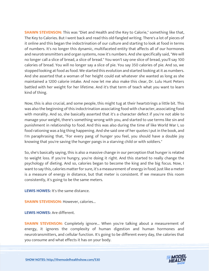**SHAWN STEVENSON:** This was "Diet and Health and the Key to Calorie," something like that, The Key to Calories. But I went back and read this old-fangled writing. There's a lot of pieces of it online and this began the indoctrination of our culture and starting to look at food in terms of numbers. It's no longer this dynamic, multifaceted entity that affects all of our hormones and neurotransmitters and organ systems, now it's numbers. And she specifically said, "We will no longer call a slice of bread, a slice of bread." You won't say one slice of bread, you'll say 100 calories of bread. You will no longer say a slice of pie. You say 350 calories of pie. And so, we stopped looking at food as food. We started this evolution and started looking at it as numbers. And she asserted that a woman of her height could eat whatever she wanted as long as she maintained a 1200 calorie intake. And now let me also make this clear, Dr. Lulu Hunt Peters battled with her weight for her lifetime. And it's that term of teach what you want to learn kind of thing.

Now, this is also crucial, and some people, this might tug at their heartstrings a little bit. This was also the beginning of this indoctrination associating food with character, associating food with morality. And so, she basically asserted that it's a character defect if you're not able to manage your weight, there's something wrong with you, and started to use terms like sin and punishment in relationship to food. And this was also during the time of like World War I, so food rationing was a big thing happening. And she said one of her quotes I put in the book, and I'm paraphrasing that, "For every pang of hunger you feel, you should have a double joy knowing that you're saving the hunger pangs in a starving child or with soldiers."

So, she's basically saying, this is also a massive change in our perception that hunger is related to weight loss. If you're hungry, you're doing it right. And this started to really change the psychology of dieting. And so, calories began to become the king and the big focus. Now, I want to say this, calories matter for sure, it's a measurement of energy in food. Just like a meter is a measure of energy in distance, but that meter is consistent. If we measure this room consistently, it's going to be the same meters.

**LEWIS HOWES:** It's the same distance.

**SHAWN STEVENSON: However, calories...** 

**LEWIS HOWES:** Are different.

**SHAWN STEVENSON:** Completely ignore... When you're talking about a measurement of energy, it ignores the complexity of human digestion and human hormones and neurotransmitters, and cellular function. It's going to be different every day, the calories that you consume and what effects it has on your body.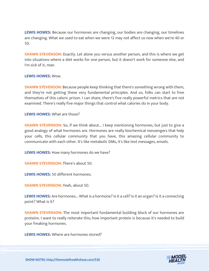**LEWIS HOWES:** Because our hormones are changing, our bodies are changing, our timelines are changing. What we used to eat when we were 12 may not affect us now when we're 40 or 50.

**SHAWN STEVENSON:** Exactly. Let alone you versus another person, and this is where we get into situations where a diet works for one person, but it doesn't work for someone else, and I'm sick of it, man.

#### **LEWIS HOWES:** Wow.

**SHAWN STEVENSON:** Because people keep thinking that there's something wrong with them, and they're not getting these very fundamental principles. And so, folks can start to free themselves of this caloric prison. I can share, there's five really powerful metrics that are not examined. There's really five major things that control what calories do in your body.

**LEWIS HOWES:** What are those?

**SHAWN STEVENSON:** So, if we think about... I keep mentioning hormones, but just to give a good analogy of what hormones are. Hormones are really biochemical messengers that help your cells, this cellular community that you have, this amazing cellular community to communicate with each other. It's like metabolic DMs, it's like text messages, emails.

**LEWIS HOWES:** How many hormones do we have?

**SHAWN STEVENSON: There's about 50.** 

**LEWIS HOWES:** 50 different hormones.

**SHAWN STEVENSON:** Yeah, about 50.

LEWIS HOWES: Are hormones... What is a hormone? Is it a cell? Is it an organ? Is it a connecting point? What is it?

**SHAWN STEVENSON:** The most important fundamental building block of our hormones are proteins. I want to really reiterate this; how important protein is because it's needed to build your freaking hormones.

**LEWIS HOWES:** Where are hormones stored?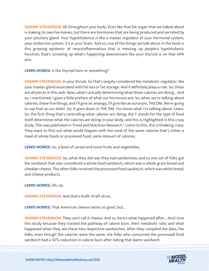**SHAWN STEVENSON:** All throughout your body. Even like that fat organ that we talked about is making its own hormones, but there are hormones that are being produced and secreted by your pituitary gland. Your hypothalamus is like a master regulator of your hormonal system, your endocrine system, it's in your brain. And so, one of the things we talk about in the book is this growing epidemic of neuroinflammation that is messing up people's hypothalamic function, that's screwing up what's happening downstream like your thyroid is on that HPA axis.

**LEWIS HOWES:** Is the thyroid here or something?

**SHAWN STEVENSON:** In your throat. So that's largely considered the metabolic regulator, like your master gland associated with fat loss or fat storage. And it definitely plays a role. So, these are all pieces in this web. Now, what's actually determining what these calories are doing... And so, I mentioned, I gave a little preface of what our hormones are. So, when we're talking about calories, these five things, and I'll give an analogy, I'll give like an acronym, THE DM. We're going to use that as our letter. So, it goes down in THE DM. You know what I'm talking about, Lewis. So, the first thing that's controlling what calories are doing, the T stands for the type of food itself determines what the calories are doing in your body, and this is highlighted in this crazy study. This was published in "Food and Nutrition Research." Listen to this, this is freaking crazy. They want to find out what would happen with the meal of the same calories that's either a meal of whole foods or processed food, same amount of calories.

**LEWIS HOWES:** So, a bowl of cereal and some fruits and vegetables.

**SHAWN STEVENSON:** So, what they did was they had sandwiches, and so one set of folks got the sandwich that was considered a whole food sandwich, which was a whole grain bread and cheddar cheese. The other folks received the processed food sandwich, which was white bread, and cheese products.

**LEWIS HOWES:** Oh, no.

**SHAWN STEVENSON: And that's Kraft. Kraft slices.** 

**LEWIS HOWES:** That American cheese tastes so good, but...

**SHAWN STEVENSON:** They can't call it cheese. And so, here's what happened after... And I love this study because they tracked the pathway of calorie burn, their metabolic rate, and what happened when they ate these two respective sandwiches. After they compiled the data, the folks, even though the calories were the same, the folks who consumed the processed food sandwich had a 50% reduction in calorie burn after eating that damn sandwich.

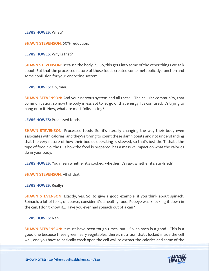**LEWIS HOWES:** What?

**SHAWN STEVENSON: 50% reduction.** 

**LEWIS HOWES:** Why is that?

**SHAWN STEVENSON:** Because the body it... So, this gets into some of the other things we talk about. But that the processed nature of those foods created some metabolic dysfunction and some confusion for your endocrine system.

**LEWIS HOWES:** Oh, man.

**SHAWN STEVENSON:** And your nervous system and all these... The cellular community, that communication, so now the body is less apt to let go of that energy. It's confused, it's trying to hang onto it. Now, what are most folks eating?

**LEWIS HOWES:** Processed foods.

**SHAWN STEVENSON:** Processed foods. So, it's literally changing the way their body even associates with calories, and they're trying to count these damn points and not understanding that the very nature of how their bodies operating is skewed, so that's just the T, that's the type of food. So, the H is how the food is prepared, has a massive impact on what the calories do in your body.

**LEWIS HOWES:** You mean whether it's cooked, whether it's raw, whether it's stir-fried?

**SHAWN STEVENSON: All of that.** 

**LEWIS HOWES:** Really?

**SHAWN STEVENSON:** Exactly, yes. So, to give a good example, if you think about spinach. Spinach, a lot of folks, of course, consider it's a healthy food, Popeye was knocking it down in the can, I don't know if... Have you ever had spinach out of a can?

#### **LEWIS HOWES:** Nah.

**SHAWN STEVENSON:** It must have been tough times, but... So, spinach is a good... This is a good one because these green leafy vegetables, there's nutrition that's locked inside the cell wall, and you have to basically crack open the cell wall to extract the calories and some of the

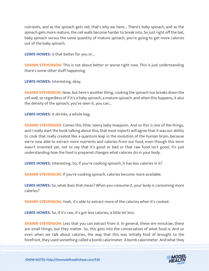nutrients, and as the spinach gets old, that's why we have... There's baby spinach, and as the spinach gets more mature, the cell walls become harder to break into. So just right off the bat, baby spinach versus the same quantity of mature spinach, you're going to get more calories out of the baby spinach.

**LEWIS HOWES:** Is that better for you or...

**SHAWN STEVENSON:** This is not about better or worse right now. This is just understanding there's some other stuff happening.

**LEWIS HOWES:** Interesting, okay.

**SHAWN STEVENSON:** Now, but here's another thing, cooking the spinach too breaks down the cell wall, so regardless of if it's a baby spinach, a mature spinach, and when this happens, it also the density of the spinach, you've seen it, you can...

**LEWIS HOWES:** It shrinks, a whole bag.

**SHAWN STEVENSON:** Comes this little, teeny baby teaspoon. And so this is one of the things, and I really start the book talking about this, that most experts will agree that it was our ability to cook that really created like a quantum leap in the evolution of the human brain, because we're now able to extract more nutrients and calories from our food, even though this term wasn't invented yet, not to say that it's good or bad or that raw food isn't good, it's just understanding how the food is prepared changes what calories do in your body.

**LEWIS HOWES:** Interesting. So, if you're cooking spinach, it has less calories in it?

**SHAWN STEVENSON:** If you're cooking spinach, calories become more available.

**LEWIS HOWES:** So, what does that mean? When you consume it, your body is consuming more calories?

**SHAWN STEVENSON:** Yeah, it's able to extract more of the calories when it's cooked.

**LEWIS HOWES:** So, if it's raw, it's got less calories, a little bit less.

**SHAWN STEVENSON:** Less that you can extract from it. In general, these are minutiae, these are small things, but they matter. So, this gets into the conversation of what food is. And so even when we talk about calories, the way that this was initially kind of brought to the forefront, they used something called a bomb calorimeter. A bomb calorimeter. And what they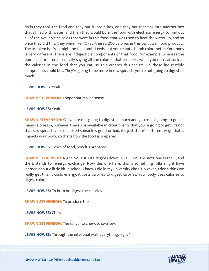do is they took the food and they put it into a box, and they put that box into another box that's filled with water, and then they would burn the food with electrical energy to find out all of the available calories that were in this food, that was used to heat the water up, and so once they did this, they were like, "Okay, there's 200 calories in this particular food product." The problem is... You might be the bomb, Lewis, but you're not a bomb calorimeter. Your body is very different. There are indigestible components of that food, for example, whereas the bomb calorimeter is basically saying all the calories that are here, when you don't absorb all the calories in the food that you eat, so this creates this schism. So those indigestible components could be... They're going to be more in raw spinach, you're not going to digest as much...

#### **LEWIS HOWES:** Yeah.

**SHAWN STEVENSON: I hope that makes sense.** 

# **LEWIS HOWES:** Yeah.

**SHAWN STEVENSON:** So, you're not going to digest as much and you're not going to pull as many calories in, however, there's bioavailable micronutrients that you're going to get. It's not that raw spinach versus cooked spinach is good or bad, it's just there's different ways that it impacts your body, so that's how the food is prepared.

**LEWIS HOWES:** Types of food, how it's prepared.

**SHAWN STEVENSON:** Right. So, THE DM, it goes down in THE DM. The next one is the E, and the E stands for energy exchange. Now this one here, this is something folks might have learned about a little bit in school. I know I did in my university class. However, I don't think we really get this. It costs energy, it costs calories to digest calories. Your body uses calories to digest calories.

**LEWIS HOWES:** To burn or digest the calories.

**SHAWN STEVENSON: To produce the...** 

**LEWIS HOWES:** Chew.

**SHAWN STEVENSON:** The saliva, to chew, to swallow.

**LEWIS HOWES:** Through the intestinal wall, everything, right?

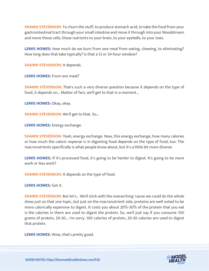**SHAWN STEVENSON:** To churn the stuff, to produce stomach acid, to take the food from your gastrointestinal tract through your small intestine and move it through into your bloodstream and move those cells, those nutrients to your brain, to your eyeballs, to your toes.

**LEWIS HOWES:** How much do we burn from one meal from eating, chewing, to eliminating? How long does that take typically? Is that a 12 or 24-hour window?

**SHAWN STEVENSON: It depends.** 

**LEWIS HOWES:** From one meal?

**SHAWN STEVENSON:** That's such a very diverse question because it depends on the type of food, it depends on... Matter of fact, we'll get to that in a moment...

**LEWIS HOWES:** Okay, okay.

**SHAWN STEVENSON:** We'll get to that. So...

**LEWIS HOWES:** Energy exchange.

**SHAWN STEVENSON:** Yeah, energy exchange. Now, this energy exchange, how many calories or how much the caloric expense is in digesting food depends on the type of food, too. The macronutrients specifically is what people know about, but it's a little bit more diverse.

LEWIS HOWES: If it's processed food, it's going to be harder to digest. It's going to be more work or less work?

**SHAWN STEVENSON:** It depends on the type of food.

**LEWIS HOWES:** Got it.

**SHAWN STEVENSON:** But let's... We'll stick with the overarching 'cause we could do the whole show just on that one topic, but just on the macronutrient side, proteins are well noted to be more calorically expensive to digest. It costs you about 20%-30% of the protein that you eat is the calories in there are used to digest the protein. So, we'll just say if you consume 100 grams of protein, 20-30... I'm sorry. 100 calories of protein, 20-30 calories are used to digest that protein.

**LEWIS HOWES:** Wow, that's pretty good.

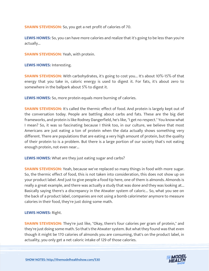**SHAWN STEVENSON:** So, you get a net profit of calories of 70.

**LEWIS HOWES:** So, you can have more calories and realize that it's going to be less than you're actually...

**SHAWN STEVENSON:** Yeah, with protein.

**LEWIS HOWES:** Interesting.

**SHAWN STEVENSON:** With carbohydrates, it's going to cost you... It's about 10%-15% of that energy that you take in, caloric energy is used to digest it. For fats, it's about zero to somewhere in the ballpark about 5% to digest it.

**LEWIS HOWES:** So, more protein equals more burning of calories.

**SHAWN STEVENSON:** It's called the thermic effect of food. And protein is largely kept out of the conversation today. People are battling about carbs and fats. These are the big diet frameworks, and protein is like Rodney Dangerfield, he's like, "I get no respect." You know what I mean? So, it was so fascinating because I think too, in our culture, we believe that most Americans are just eating a ton of protein when the data actually shows something very different. There are populations that are eating a very high amount of protein, but the quality of their protein to is a problem. But there is a large portion of our society that's not eating enough protein, not even near...

**LEWIS HOWES:** What are they just eating sugar and carbs?

**SHAWN STEVENSON:** Yeah, because we've replaced so many things in food with more sugar. So, the thermic effect of food, this is not taken into consideration, this does not show up on your product label. And just to give people a food tip here, one of them is almonds. Almonds is really a great example, and there was actually a study that was done and they was looking at... Basically saying there's a discrepancy in the Atwater system of caloric... So, what you see on the back of a product label, companies are not using a bomb calorimeter anymore to measure calories in their food, they're just doing some math.

# **LEWIS HOWES:** Right.

**SHAWN STEVENSON:** They're just like, "Okay, there's four calories per gram of protein," and they're just doing some math. So that's the Atwater system. But what they found was that even though it might be 170 calories of almonds you are consuming, that's on the product label, in actuality, you only get a net caloric intake of 129 of those calories.

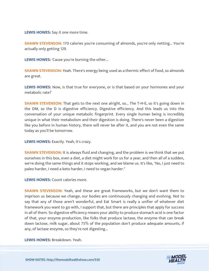**LEWIS HOWES:** Say it one more time.

**SHAWN STEVENSON:** 170 calories you're consuming of almonds, you're only netting... You're actually only getting 129.

**LEWIS HOWES:** 'Cause you're burning the other...

**SHAWN STEVENSON:** Yeah. There's energy being used as a thermic effect of food, so almonds are great.

**LEWIS HOWES:** Now, is that true for everyone, or is that based on your hormones and your metabolic rate?

**SHAWN STEVENSON:** That gets to the next one alright, so... The T-H-E, so it's going down in the DM, so the D is digestive efficiency. Digestive efficiency. And this leads us into the conversation of your unique metabolic fingerprint. Every single human being is incredibly unique in what their metabolism and their digestion is doing. There's never been a digestion like you before in human history, there will never be after it, and you are not even the same today as you'll be tomorrow.

**LEWIS HOWES:** Exactly. Yeah, it's crazy.

**SHAWN STEVENSON:** It is always fluid and changing, and the problem is we think that we put ourselves in this box, even a diet, a diet might work for us for a year, and then all of a sudden, we're doing the same things and it stops working, and we blame us. It's like, "No, I just need to paleo harder, I need a keto harder, I need to vegan harder."

**LEWIS HOWES:** Count calories more.

**SHAWN STEVENSON:** Yeah, and these are great frameworks, but we don't want them to imprison us because we change, our bodies are continuously changing and evolving. Not to say that any of those aren't wonderful, and Eat Smart is really a unifier of whatever diet framework you want to go with, I support that, but there are principles that apply for success in all of them. So digestive efficiency means your ability to produce stomach acid is one factor of that, your enzyme production, like folks that produce lactase, the enzyme that can break down lactose, milk sugar, about 75% of the population don't produce adequate amounts, if any, of lactase enzyme, so they're not digesting...

**LEWIS HOWES:** Breakdown. Yeah.

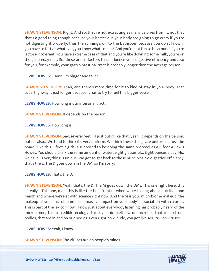**SHAWN STEVENSON:** Right. And so, they're not extracting as many calories from it, not that that's a good thing though because your bacteria in your body are going to go crazy if you're not digesting it properly, thus the running's off to the bathroom because you don't know if you have to fart or whatever, you know what I mean? And you're not fun to be around if you're lactose intolerant. You have extreme case of that and you're like downing some milk, you're on the gallon-day diet. So, these are all factors that influence your digestive efficiency and also for you, for example, your gastrointestinal tract is probably longer than the average person.

**LEWIS HOWES:** 'Cause I'm bigger and taller.

**SHAWN STEVENSON:** Yeah, and there's more time for it to kind of stay in your body. That superhighway is just longer because it has to try to fuel this bigger vessel.

**LEWIS HOWES:** How long is our intestinal tract?

**SHAWN STEVENSON:** It depends on the person.

**LEWIS HOWES:** How long is...

**SHAWN STEVENSON:** Say, several feet. I'll just put it like that, yeah. It depends on the person, but it's also... We tend to think it's very uniform. We think these things are uniform across the board. Like this 5-foot 2 girls is supposed to be doing the same protocol as a 6 foot 4 Lewis Howes. You should drink the same amount of water, eight glasses of... Eight ounces a day. No, we have... Everything is unique. We got to get back to these principles. So digestive efficiency, that's the E. The D goes down in the DM, so I'm sorry.

**LEWIS HOWES:** That's the D.

**SHAWN STEVENSON:** Yeah, that's the D. The M goes down the DMs. This one right here, this is really... This one, man, this is like the final frontier when we're talking about nutrition and health and where we're at with science right now. And the M is your microbiome makeup, the makeup of your microbiome has a massive impact on your body's association with calories. This is part of the lexicon now. I know just about everybody listening has probably heard of the microbiome, this incredible ecology, this dynamic plethora of microbes that inhabit our bodies, that are in and on our bodies. Even right now, dude, you got like 400 trillion viruses...

**LEWIS HOWES:** Yeah, I know.

**SHAWN STEVENSON:** The viruses are on people's minds.

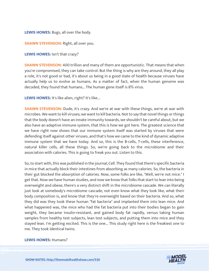**LEWIS HOWES:** Bugs, all over the body.

**SHAWN STEVENSON:** Right, all over you.

**LEWIS HOWES:** Isn't that crazy?

**SHAWN STEVENSON:** 400 trillion and many of them are opportunistic. That means that when you're compromised, they can take control. But the thing is why are they around, they all play a role, it's not good or bad, it's about us being in a good state of health because viruses have actually help us to evolve as humans. As a matter of fact, when the human genome was decoded, they found that humans... The human gene itself is 8% virus.

**LEWIS HOWES:** It's like alien, right? It's like...

**SHAWN STEVENSON:** Dude, it's crazy. And we're at war with these things, we're at war with microbes. We want to kill viruses; we want to kill bacteria. Not to say that novel things or things that the body doesn't have an innate immunity towards, we shouldn't be careful about, but we also have an adaptive immune system, that this is how we got here. The greatest science that we have right now shows that our immune system itself was started by viruses that were defending itself against other viruses, and that's how we came to the kind of dynamic adaptive immune system that we have today. And so, this is the B-cells, T-cells, these interference, natural killer cells, all these things. So, we're going back to the microbiome and their association with calories. This is going to freak you out. Listen to this.

So, to start with, this was published in the journal, Cell. They found that there's specific bacteria in mice that actually block their intestines from absorbing as many calories. So, the bacteria in their gut blocked the absorption of calories. Now, some folks are like, "Well, we're not mice." I get that. Now we have human studies, and now we know that folks that start to lean into being overweight and obese, there's a very distinct shift in the microbiome cascade. We can literally just look at somebody's microbiome cascade, not even know what they look like, what their body composition is, and know that they're overweight based on their bacteria. And so, what they did was they took these human "fat bacteria" and implanted them into lean mice. And what happened was, the mice who had the fat bacteria put into their bodies began to gain weight, they became insulin-resistant, and gained body fat rapidly, versus taking human samples from healthy test subjects, lean test subjects, and putting them into mice and they stayed lean. I'm getting excited. This is the one... This study right here is the freakiest one to me. They took identical twins.

#### **LEWIS HOWES:** Humans?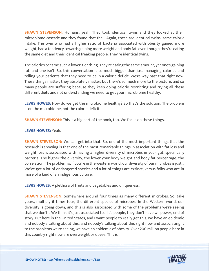**SHAWN STEVENSON:** Humans, yeah. They took identical twins and they looked at their microbiome cascade and they found that the... Again, these are identical twins, same caloric intake. The twin who had a higher ratio of bacteria associated with obesity gained more weight, had a tendency towards gaining more weight and body fat, even though they're eating the same diet and their identical freaking people. They're identical twins.

The calories became such a lower-tier thing. They're eating the same amount, yet one's gaining fat, and one isn't. So, this conversation is so much bigger than just managing calories and telling your patients that they need to be in a caloric deficit. We're way past that right now. These things matter, they absolutely matter, but there's so much more to the picture, and so many people are suffering because they keep doing calorie restricting and trying all these different diets and not understanding we need to get your microbiome healthy.

**LEWIS HOWES:** How do we get the microbiome healthy? So that's the solution. The problem is on the microbiome, not the calorie deficit.

**SHAWN STEVENSON:** This is a big part of the book, too. We focus on these things.

# **LEWIS HOWES:** Yeah.

**SHAWN STEVENSON:** We can get into that. So, one of the most important things that the research is showing is that one of the most remarkable things in association with fat loss and weight loss is associated with having a higher diversity of microbes in your gut, specifically bacteria. The higher the diversity, the lower your body weight and body fat percentage, the correlation. The problem is, if you're in the western world, our diversity of our microbes is just... We've got a lot of endangered species and a lot of things are extinct, versus folks who are in more of a kind of an indigenous culture.

**LEWIS HOWES:** A plethora of fruits and vegetables and uniqueness.

**SHAWN STEVENSON:** Somewhere around four times as many different microbes. So, take yours, multiply it times four, the different species of microbes. In the Western world, our diversity is going down, and this is also associated with some of the problems we're seeing that we don't... We think it's just associated to... It's people, they don't have willpower, end of story. But here in the United States, and I want people to really get this, we have an epidemic and nobody's talking about this, and nobody's talking about this right now and associating it to the problems we're seeing, we have an epidemic of obesity. Over 200 million people here in this country right now are overweight or obese. This is...

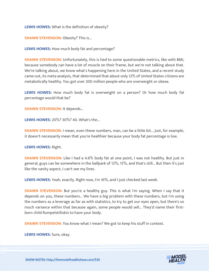**LEWIS HOWES:** What is the definition of obesity?

**SHAWN STEVENSON: Obesity? This is...** 

**LEWIS HOWES:** How much body fat and percentage?

**SHAWN STEVENSON:** Unfortunately, this is tied to some questionable metrics, like with BMI, because somebody can have a lot of muscle on their frame, but we're not talking about that. We're talking about, we know what's happening here in the United States, and a recent study came out, its meta-analysis, that determined that about only 12% of United States citizens are metabolically healthy. You got over 200 million people who are overweight or obese.

**LEWIS HOWES:** How much body fat is overweight on a person? Or how much body fat percentage would that be?

**SHAWN STEVENSON:** It depends...

**LEWIS HOWES:** 20%? 30%? 40. What's the...

**SHAWN STEVENSON:** I mean, even these numbers, man, can be a little bit... Just, for example, it doesn't necessarily mean that you're healthier because your body fat percentage is low.

**LEWIS HOWES:** Right.

**SHAWN STEVENSON:** Like I had a 4.6% body fat at one point, I was not healthy. But just in general, guys can be somewhere in the ballpark of 12%, 15%, and that's still... But then it's just like the vanity aspect, I can't see my lines.

LEWIS HOWES: Yeah, exactly. Right now, I'm 16%, and I just checked last week.

**SHAWN STEVENSON:** But you're a healthy guy. This is what I'm saying. When I say that it depends on you, these numbers... We have a big problem with these numbers, but I'm using the numbers as a leverage as far as with statistics, to try to get our eyes open, but there's so much variance within that because again, some people would sell... They'd name their firstborn child Rumpelstiltskin to have your body.

**SHAWN STEVENSON:** You know what I mean? We got to keep his stuff in context.

**LEWIS HOWES:** Sure, okay.

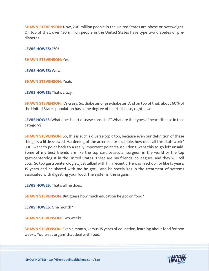**SHAWN STEVENSON:** Now, 200 million people in the United States are obese or overweight. On top of that, over 130 million people in the United States have type two diabetes or prediabetes.

**LEWIS HOWES:** 130?

**SHAWN STEVENSON:** Yes.

**LEWIS HOWES:** Wow.

**SHAWN STEVENSON:** Yeah.

**LEWIS HOWES:** That's crazy.

**SHAWN STEVENSON:** It's crazy. So, diabetes or pre-diabetes. And on top of that, about 60% of the United States population has some degree of heart disease, right now.

**LEWIS HOWES:** What does heart disease consist of? What are the types of heart disease in that category?

**SHAWN STEVENSON:** So, this is such a diverse topic too, because even our definition of these things is a little skewed. Hardening of the arteries, for example, how does all this stuff work? But I want to point back to a really important point 'cause I don't want this to go left unsaid. Some of my best friends are like the top cardiovascular surgeon in the world or the top gastroenterologist in the United States. These are my friends, colleagues, and they will tell you... So top gastroenterologist, just talked with him recently. He was in school for like 15 years. 15 years and he shared with me he got... And he specializes in the treatment of systems associated with digesting your food. The systems, the organs...

**LEWIS HOWES:** That's all he does.

**SHAWN STEVENSON:** But guess how much education he got on food?

**LEWIS HOWES:** One month?

**SHAWN STEVENSON: Two weeks.** 

**SHAWN STEVENSON:** Even a month, versus 15 years of education, learning about food for two weeks. You treat organs that deal with food.

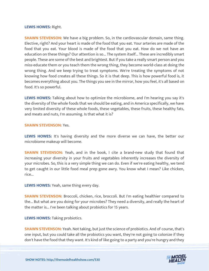#### **LEWIS HOWES:** Right.

**SHAWN STEVENSON:** We have a big problem. So, in the cardiovascular domain, same thing. Elective, right? And your heart is made of the food that you eat. Your arteries are made of the food that you eat. Your blood is made of the food that you eat. How do we not have an education on these things? Our attention is so... The system itself... These are incredibly smart people. These are some of the best and brightest. But if you take a really smart person and you miss-educate them or you teach them the wrong thing, they become world-class at doing the wrong thing. And we keep trying to treat symptoms. We're treating the symptoms of not knowing how food creates all these things. So it is that deep. This is how powerful food is, it becomes everything about you. The things you see in the mirror, how you feel, it's all based on food. It's so powerful.

**LEWIS HOWES:** Talking about how to optimize the microbiome, and I'm hearing you say it's the diversity of the whole foods that we should be eating, and in America specifically, we have very limited diversity of these whole foods, these vegetables, these fruits, these healthy fats, and meats and nuts, I'm assuming. Is that what it is?

#### **SHAWN STEVENSON:** Yes.

**LEWIS HOWES:** It's having diversity and the more diverse we can have, the better our microbiome makeup will become.

**SHAWN STEVENSON:** Yeah, and in the book, I cite a brand-new study that found that increasing your diversity in your fruits and vegetables inherently increases the diversity of your microbes. So, this is a very simple thing we can do. Even if we're eating healthy, we tend to get caught in our little food meal prep gone awry. You know what I mean? Like chicken, rice...

**LEWIS HOWES:** Yeah, same thing every day.

**SHAWN STEVENSON:** Broccoli, chicken, rice, broccoli. But I'm eating healthier compared to the... But what are you doing for your microbes? They need a diversity, and really the heart of the matter is... I've been talking about probiotics for 15 years.

**LEWIS HOWES:** Taking probiotics.

**SHAWN STEVENSON:** Yeah. Not taking, but just the science of probiotics. And of course, that's one input, but you could take all the probiotics you want, they're not going to colonize if they don't have the food that they want. It's kind of like going to a party and you're hungry and they

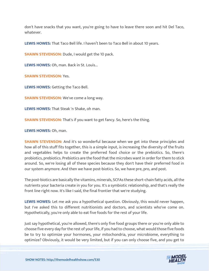don't have snacks that you want, you're going to have to leave there soon and hit Del Taco, whatever.

**LEWIS HOWES:** That Taco Bell life. I haven't been to Taco Bell in about 10 years.

**SHAWN STEVENSON:** Dude, I would get the 10 pack.

**LEWIS HOWES:** Oh, man. Back in St. Louis...

**SHAWN STEVENSON:** Yes.

**LEWIS HOWES:** Getting the Taco Bell.

**SHAWN STEVENSON:** We've come a long way.

**LEWIS HOWES:** That Steak 'n Shake, oh man.

**SHAWN STEVENSON:** That's if you want to get fancy. So, here's the thing.

**LEWIS HOWES:** Oh, man.

**SHAWN STEVENSON:** And it's so wonderful because when we get into these principles and how all of this stuff fits together, this is a simple input, is increasing the diversity of the fruits and vegetables helps to create the preferred food choice or the prebiotics. So, there's probiotics, prebiotics. Prebiotics are the food that the microbes want in order for them to stick around. So, we're losing all of these species because they don't have their preferred food in our system anymore. And then we have post-biotics. So, we have pre, pro, and post.

The post-biotics are basically the vitamins, minerals, SCFAs these short-chain fatty acids, all the nutrients your bacteria create in you for you. It's a symbiotic relationship, and that's really the front line right now. It's like I said, the final frontier that we're studying.

**LEWIS HOWES:** Let me ask you a hypothetical question. Obviously, this would never happen, but I've asked this to different nutritionists and doctors, and scientists who've come on. Hypothetically, you're only able to eat five foods for the rest of your life.

Just say hypothetical, you're allowed, there's only five food groups there or you're only able to choose five every day for the rest of your life, if you had to choose, what would those five foods be to try to optimize your hormones, your mitochondria, your microbiome, everything to optimize? Obviously, it would be very limited, but if you can only choose five, and you get to

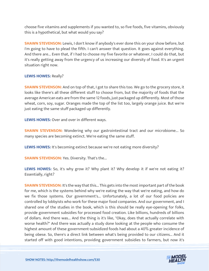choose five vitamins and supplements if you wanted to, so five foods, five vitamins, obviously this is a hypothetical, but what would you say?

**SHAWN STEVENSON:** Lewis, I don't know if anybody's ever done this on your show before, but I'm going to have to plead the fifth. I can't answer that question. It goes against everything. And there are... Even that, if I had to choose my five favorite or whatever, I could do that, but it's really getting away from the urgency of us increasing our diversity of food. It's an urgent situation right now.

# **LEWIS HOWES:** Really?

**SHAWN STEVENSON:** And on top of that, I got to share this too. We go to the grocery store, it looks like there's all these different stuff to choose from, but the majority of foods that the average American eats are from the same 12 foods, just packaged up differently. Most of those wheat, corn, soy, sugar. Oranges made the top of the list too, largely orange juice. But we're just eating the same stuff packaged up differently.

**LEWIS HOWES:** Over and over in different ways.

**SHAWN STEVENSON:** Wondering why our gastrointestinal tract and our microbiome... So many species are becoming extinct. We're eating the same stuff.

**LEWIS HOWES:** It's becoming extinct because we're not eating more diversity?

**SHAWN STEVENSON: Yes. Diversity. That's the...** 

LEWIS HOWES: So, it's why grow it? Why plant it? Why develop it if we're not eating it? Essentially, right?

**SHAWN STEVENSON:** It's the way that this... This gets into the most important part of the book for me, which is the systems behind why we're eating the way that we're eating, and how do we fix those systems. Our government's... Unfortunately, a lot of our food policies are controlled by lobbyists who work for these major food companies. And our government, and I shared one of the studies in the book, which is this should be really eye-opening for folks, provide government subsidies for processed food creation. Like billions, hundreds of billions of dollars. And there was... And the thing is it's like, "Okay, does that actually correlate with worse health?" And there was actually a study done looking at the people who consume the highest amount of these government-subsidized foods had about a 40% greater incidence of being obese. So, there's a direct link between what's being provided to our citizens... And it started off with good intentions, providing government subsidies to farmers, but now it's

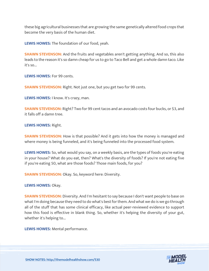these big agricultural businesses that are growing the same genetically altered food crops that become the very basis of the human diet.

**LEWIS HOWES:** The foundation of our food, yeah.

**SHAWN STEVENSON:** And the fruits and vegetables aren't getting anything. And so, this also leads to the reason it's so damn cheap for us to go to Taco Bell and get a whole damn taco. Like it's so...

**LEWIS HOWES:** For 99 cents.

**SHAWN STEVENSON: Right. Not just one, but you get two for 99 cents.** 

**LEWIS HOWES:** I know. It's crazy, man.

**SHAWN STEVENSON:** Right? Two for 99 cent tacos and an avocado costs four bucks, or \$3, and it falls off a damn tree.

**LEWIS HOWES:** Right.

**SHAWN STEVENSON:** How is that possible? And it gets into how the money is managed and where money is being funneled, and it's being funneled into the processed food system.

**LEWIS HOWES:** So, what would you say, on a weekly basis, are the types of foods you're eating in your house? What do you eat, then? What's the diversity of foods? If you're not eating five if you're eating 50, what are those foods? Those main foods, for you?

**SHAWN STEVENSON:** Okay. So, keyword here: Diversity.

**LEWIS HOWES:** Okay.

**SHAWN STEVENSON:** Diversity. And I'm hesitant to say because I don't want people to base on what I'm doing because they need to do what's best for them. And what we do is we go through all of the stuff that has some clinical efficacy, like actual peer-reviewed evidence to support how this food is effective in blank thing. So, whether it's helping the diversity of your gut, whether it's helping to...

**LEWIS HOWES:** Mental performance.

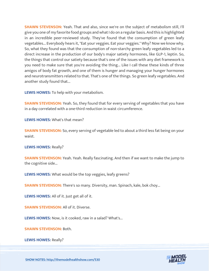**SHAWN STEVENSON:** Yeah. That and also, since we're on the subject of metabolism still, I'll give you one of my favorite food groups and what I do on a regular basis. And this is highlighted in an incredible peer-reviewed study. They've found that the consumption of green leafy vegetables... Everybody hears it, "Eat your veggies. Eat your veggies." Why? Now we know why. So, what they found was that the consumption of non-starchy green leafy vegetables led to a direct increase in the production of our body's major satiety hormones, like GLP-1, leptin. So, the things that control our satiety because that's one of the issues with any diet framework is you need to make sure that you're avoiding the thing... Like I call these these kinds of three amigos of body fat growth, and one of them is hunger and managing your hunger hormones and neurotransmitters related to that. That's one of the things. So green leafy vegetables. And another study found that...

**LEWIS HOWES:** To help with your metabolism.

**SHAWN STEVENSON:** Yeah. So, they found that for every serving of vegetables that you have in a day correlated with a one-third reduction in waist circumference.

**LEWIS HOWES:** What's that mean?

**SHAWN STEVENSON:** So, every serving of vegetable led to about a third less fat being on your waist.

**LEWIS HOWES:** Really?

**SHAWN STEVENSON:** Yeah. Yeah. Really fascinating. And then if we want to make the jump to the cognitive side...

**LEWIS HOWES:** What would be the top veggies, leafy greens?

**SHAWN STEVENSON:** There's so many. Diversity, man. Spinach, kale, bok choy...

**LEWIS HOWES:** All of it. Just get all of it.

**SHAWN STEVENSON:** All of it. Diverse.

**LEWIS HOWES:** Now, is it cooked, raw in a salad? What's...

**SHAWN STEVENSON:** Both.

**LEWIS HOWES:** Really?

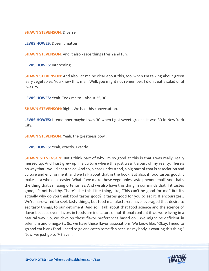**SHAWN STEVENSON: Diverse.** 

**LEWIS HOWES:** Doesn't matter.

**SHAWN STEVENSON:** And it also keeps things fresh and fun.

**LEWIS HOWES:** Interesting.

**SHAWN STEVENSON:** And also, let me be clear about this, too, when I'm talking about green leafy vegetables. You know this, man. Well, you might not remember. I didn't eat a salad until I was 25.

**LEWIS HOWES:** Yeah. Took me to... About 25, 30.

**SHAWN STEVENSON: Right. We had this conversation.** 

**LEWIS HOWES:** I remember maybe I was 30 when I got sweet greens. It was 30 in New York City.

**SHAWN STEVENSON:** Yeah, the greatness bowl.

**LEWIS HOWES:** Yeah, exactly. Exactly.

**SHAWN STEVENSON:** But I think part of why I'm so good at this is that I was really, really messed up. And I just grew up in a culture where this just wasn't a part of my reality. There's no way that I would eat a salad. And so, please understand, a big part of that is association and culture and environment, and we talk about that in the book. But also, if food tastes good, it makes it a whole lot easier. What if we make those vegetables taste phenomenal? And that's the thing that's missing oftentimes. And we also have this thing in our minds that if it tastes good, it's not healthy. There's like this little thing, like, "This can't be good for me." But it's actually why do you think food tastes good? It tastes good for you to eat it. It encourages... We're hard-wired to seek tasty things, but food manufacturers have leveraged that desire to eat tasty things, to our detriment. And so, I talk about that food science and the science of flavor because even flavors in foods are indicators of nutritional content if we were living in a natural way. So, we develop these flavor preferences based on... We might be deficient in selenium and omega-3s. So, we have these flavor associations. We know like, "Okay, I need to go and eat blank food. I need to go and catch some fish because my body is wanting this thing." Now, we just go to 7-Eleven.

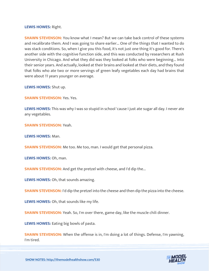#### **LEWIS HOWES:** Right.

**SHAWN STEVENSON:** You know what I mean? But we can take back control of these systems and recalibrate them. And I was going to share earlier... One of the things that I wanted to do was stack conditions. So, when I give you this food, it's not just one thing it's good for. There's another side with the cognitive function side, and this was conducted by researchers at Rush University in Chicago. And what they did was they looked at folks who were beginning... Into their senior years. And actually, looked at their brains and looked at their diets, and they found that folks who ate two or more servings of green leafy vegetables each day had brains that were about 11 years younger on average.

**LEWIS HOWES:** Shut up.

**SHAWN STEVENSON: Yes. Yes.** 

**LEWIS HOWES:** This was why I was so stupid in school 'cause I just ate sugar all day. I never ate any vegetables.

**SHAWN STEVENSON:** Yeah.

**LEWIS HOWES:** Man.

**SHAWN STEVENSON:** Me too. Me too, man. I would get that personal pizza.

**LEWIS HOWES:** Oh, man.

**SHAWN STEVENSON:** And get the pretzel with cheese, and I'd dip the...

**LEWIS HOWES:** Oh, that sounds amazing.

**SHAWN STEVENSON:** I'd dip the pretzel into the cheese and then dip the pizza into the cheese.

**LEWIS HOWES:** Oh, that sounds like my life.

**SHAWN STEVENSON:** Yeah. So, I'm over there, game day, like the muscle chili dinner.

**LEWIS HOWES:** Eating big bowls of pasta.

**SHAWN STEVENSON:** When the offense is in, I'm doing a lot of things. Defense, I'm yawning, I'm tired.

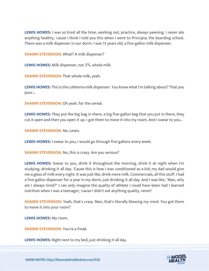**LEWIS HOWES:** I was so tired all the time, working out, practice, always yawning. I never ate anything healthy, 'cause I think I told you this when I went to Principia, the boarding school. There was a milk dispenser in our dorm. I was 13 years old, a five-gallon milk dispenser.

**SHAWN STEVENSON:** What? A milk dispenser?

**LEWIS HOWES:** Milk dispenser, not 2%, whole milk.

**SHAWN STEVENSON:** That whole milk, yeah.

**LEWIS HOWES:** This is the cafeteria milk dispenser. You know what I'm talking about? That you pour...

**SHAWN STEVENSON:** Oh yeah, for the cereal.

**LEWIS HOWES:** They put the big bag in there, a big five-gallon bag that you put in there, they cut it open and then you open it up. I got them to move it into my room. And I swear to you...

**SHAWN STEVENSON: No, Lewis.** 

**LEWIS HOWES:** I swear to you, I would go through five gallons every week.

**SHAWN STEVENSON:** No, this is crazy. Are you serious?

**LEWIS HOWES:** Swear to you, drink it throughout the morning, drink it at night when I'm studying, drinking it all day. 'Cause this is how I was conditioned as a kid; my dad would give me a glass of milk every night. It was just like, drink more milk. Commercials, all this stuff. I had a five-gallon dispenser for a year in my dorm, just drinking it all day. And I was like, "Man, why am I always tired?" I can only imagine the quality of athlete I could have been had I learned nutrition when I was a teenager, 'cause I didn't eat anything quality, never!

**SHAWN STEVENSON:** Yeah, that's crazy. Man, that's literally blowing my mind. You got them to move it into your room?

**LEWIS HOWES:** My room.

**SHAWN STEVENSON: You're a freak.** 

**LEWIS HOWES:** Right next to my bed, just drinking it all day.

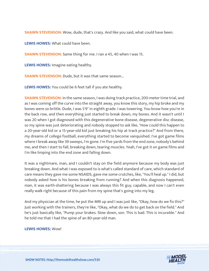**SHAWN STEVENSON:** Wow, dude, that's crazy. And like you said, what could have been.

**LEWIS HOWES:** What could have been.

**SHAWN STEVENSON:** Same thing for me. I ran a 45, 40 when I was 15.

**LEWIS HOWES:** Imagine eating healthy.

**SHAWN STEVENSON:** Dude, but it was that same season...

**LEWIS HOWES:** You could be 6 feet tall if you ate healthy.

**SHAWN STEVENSON:** In the same season, I was doing track practice, 200-meter time trial, and as I was coming off the curve into the straight away, you know this story, my hip broke and my bones were so brittle. Dude, I was 5'9" in eighth grade. I was towering. You know how you're in the back row, and then everything just started to break down, my bones. And it wasn't until I was 20 when I got diagnosed with this degenerative bone disease, degenerative disc disease, so my spine was just deteriorating and nobody stopped to ask like, "How could this happen to a 20-year-old kid or a 15-year-old kid just breaking his hip at track practice?" And from there, my dreams of college football, everything started to become vanquished. I've got game films where I break away like 39 sweeps, I'm gone. I'm five yards from the end zone, nobody's behind me, and then I start to fall, breaking down, tearing muscles. Yeah, I've got it on game films and I'm like limping into the end zone and falling down.

It was a nightmare, man, and I couldn't stay on the field anymore because my body was just breaking down. And what I was exposed to is what's called standard of care, which standard of care means they gave me some NSAIDS, gave me some crutches, like, "You'll heal up." I did, but nobody asked how is his bones breaking from running? And when this diagnosis happened, man, it was earth-shattering because I was always this fit guy, capable, and now I can't even really walk right because of this pain from my spine that's going into my leg.

And my physician at the time, he put the MRI up and I was just like, "Okay, how do we fix this?" Just working with the trainers, they're like, "Okay, what do we do to get back on the field." And he's just basically like, "Pump your brakes. Slow down, son. This is bad. This is incurable." And he told me that I had the spine of an 80-year-old man.

**LEWIS HOWES:** Wow!

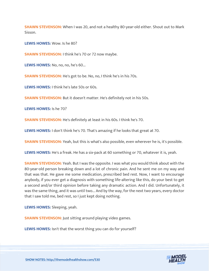**SHAWN STEVENSON:** When I was 20, and not a healthy 80-year-old either. Shout out to Mark Sisson.

**LEWIS HOWES:** Wow. Is he 80?

**SHAWN STEVENSON:** I think he's 70 or 72 now maybe.

**LEWIS HOWES:** No, no, no, he's 60...

**SHAWN STEVENSON:** He's got to be. No, no, I think he's in his 70s.

**LEWIS HOWES:** I think he's late 50s or 60s.

**SHAWN STEVENSON:** But it doesn't matter. He's definitely not in his 50s.

**LEWIS HOWES:** Is he 70?

**SHAWN STEVENSON:** He's definitely at least in his 60s. I think he's 70.

**LEWIS HOWES:** I don't think he's 70. That's amazing if he looks that great at 70.

**SHAWN STEVENSON:** Yeah, but this is what's also possible, even wherever he is, it's possible.

**LEWIS HOWES:** He's a freak. He has a six-pack at 60 something or 70, whatever it is, yeah.

**SHAWN STEVENSON:** Yeah. But I was the opposite. I was what you would think about with the 80-year-old person breaking down and a lot of chronic pain. And he sent me on my way and that was that. He gave me some medication, prescribed bed rest. Now, I want to encourage anybody, if you ever get a diagnosis with something life-altering like this, do your best to get a second and/or third opinion before taking any dramatic action. And I did. Unfortunately, it was the same thing, and it was until two... And by the way, for the next two years, every doctor that I saw told me, bed rest, so I just kept doing nothing.

**LEWIS HOWES:** Sleeping, yeah.

**SHAWN STEVENSON:** Just sitting around playing video games.

**LEWIS HOWES:** Isn't that the worst thing you can do for yourself?

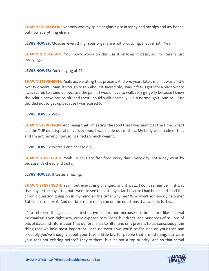**SHAWN STEVENSON:** Not only was my spine beginning to atrophy and my hips and my bones, but now everything else is.

**LEWIS HOWES:** Muscles, everything. Your organs are not producing, they're not... Yeah.

**SHAWN STEVENSON:** Your body works on this use it or loses it basis, so I'm literally just decaying.

**LEWIS HOWES:** You're dying at 22.

**SHAWN STEVENSON:** Yeah, accelerating that process. And two years later, man, it was a little over two years... Man, it's tough to talk about it. Incredibly, I was in fear. I got into a place where I was scared to stand up because the pain... I would have to walk very gingerly because I know the sciatic nerve has to hit, and then I could walk normally like a normal gait. And so, I just decided not to get up because I was scared to.

#### **LEWIS HOWES:** Wow!

**SHAWN STEVENSON:** And being that I'm eating the food that I was eating at the time, what I call the TUF diet, typical university food, I was made out of this... My body was made of this, and I'm not moving now, so I gained so much weight.

**LEWIS HOWES:** Pretzels and cheese dip.

**SHAWN STEVENSON:** Yeah. Dude, I ate fast food every day. Every day, not a day went by because it's cheap and tasty.

**LEWIS HOWES:** It tastes amazing.

**SHAWN STEVENSON:** Yeah, but everything changed, and it was... I don't remember if it was that day or the day after, but I went to see the last physician because I had hope, and I had this chronic question going on in my mind all the time, why me? Why won't somebody help me? But I didn't realize it. And our brains are really run on the questions that we ask. Is this...

It's a reflexive thing, it's called instinctive elaboration because our brains are like a serval mechanism. Even right now, we're exposed to trillions, hundreds, and hundreds of trillions of bits of data and information that our brain has to filter and only present to us, consciously, the thing that we hold most important. Because even now, you'd be focused on your toes and probably you've thought about your toes a little bit, for people that are listening, but were your toes not existing before? They're there, but it's not a top priority. And so that serval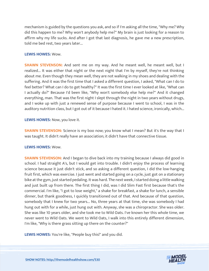mechanism is guided by the questions you ask, and so if I'm asking all the time, "Why me? Why did this happen to me? Why won't anybody help me?" My brain is just looking for a reason to affirm why my life sucks. And after I got that last diagnosis, he gave me a new prescription, told me bed rest, two years later...

#### **LEWIS HOWES:** Wow.

**SHAWN STEVENSON:** And sent me on my way. And he meant well, he meant well, but I realized... It was either that night or the next night that I'm by myself, they're not thinking about me. Even though they mean well, they are not walking in my shoes and dealing with the suffering. And it was the first time that I asked a different question, I asked, "What can I do to feel better? What can I do to get healthy?" It was the first time I ever looked at like, "What can I actually do?" Because I'd been like, "Why won't somebody else help me?" And it changed everything, man. That was the first night I slept through the night in two years without drugs, and I woke up with just a renewed sense of purpose because I went to school, I was in the auditory nutrition class, but I got out of it because I hated it. I hated science, ironically, which...

# **LEWIS HOWES:** Now, you love it.

**SHAWN STEVENSON:** Science is my boo now; you know what I mean? But it's the way that I was taught. It didn't really have an association; it didn't have that connective tissue.

# **LEWIS HOWES:** Wow.

**SHAWN STEVENSON:** And I began to dive back into my training because I always did good in school. I had straight A's, but I would get into trouble. I didn't enjoy the process of learning science because it just didn't stick, and so asking a different question, I did the low-hanging fruit first, which was exercise. I just went and started going on a cycle, just got on a stationary bike at the gym, just started pedaling. It was hard. The next week, I started doing a little walking and just built up from there. The first thing I did, was I did Slim Fast first because that's the commercial. I'm like, "I got to lose weight," a shake for breakfast, a shake for lunch, a sensible dinner, but thank goodness, I quickly transitioned out of that. And because of that question, somebody that I knew for two years... No, three years at that time, she was somebody I had hung out with for a while, just hung out with. Anyway, she was a chiropractor. She was older. She was like 10 years older, and she took me to Wild Oats. I've known her this whole time, we never went to Wild Oats. We went to Wild Oats, I walk into this entirely different dimension, I'm like, "Why is there grass sitting up there on the counter?"

**LEWIS HOWES:** You're like, "People buy this!" and you did.

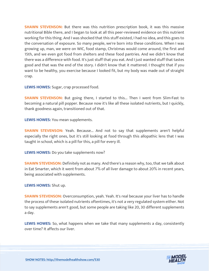**SHAWN STEVENSON:** But there was this nutrition prescription book, it was this massive nutritional Bible there, and I began to look at all this peer-reviewed evidence on this nutrient working for this thing. And I was shocked that this stuff existed, I had no idea, and this goes to the conversation of exposure. So many people, we're born into these conditions. When I was growing up, man, we were on WIC, food stamp, Christmas would come around, the first and 15th, and we even got food from shelters and these food pantries. And we didn't know that there was a difference with food. It's just stuff that you eat. And I just wanted stuff that tastes good and that was the end of the story. I didn't know that it mattered. I thought that if you want to be healthy, you exercise because I looked fit, but my body was made out of straight crap.

**LEWIS HOWES:** Sugar, crap processed food.

**SHAWN STEVENSON:** But going there, I started to this... Then I went from Slim-Fast to becoming a natural pill popper. Because now it's like all these isolated nutrients, but I quickly, thank goodness again, transitioned out of that.

**LEWIS HOWES:** You mean supplements.

**SHAWN STEVENSON:** Yeah. Because... And not to say that supplements aren't helpful especially the right ones, but it's still looking at food through this allopathic lens that I was taught in school, which is a pill for this, a pill for every ill.

**LEWIS HOWES:** Do you take supplements now?

**SHAWN STEVENSON:** Definitely not as many. And there's a reason why, too, that we talk about in Eat Smarter, which it went from about 7% of all liver damage to about 20% in recent years, being associated with supplements.

**LEWIS HOWES:** Shut up.

**SHAWN STEVENSON:** Overconsumption, yeah. Yeah. It's real because your liver has to handle the process of these isolated nutrients oftentimes, it's not a very regulated system either. Not to say supplements aren't good, but some people are taking like 20, 30 different supplements a day.

**LEWIS HOWES:** So, what happens when we take that many supplements a day, consistently over time? It affects our liver.

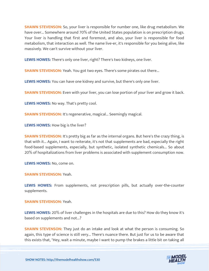**SHAWN STEVENSON:** So, your liver is responsible for number one, like drug metabolism. We have over... Somewhere around 70% of the United States population is on prescription drugs. Your liver is handling that first and foremost, and also, your liver is responsible for food metabolism, that interaction as well. The name live-er, it's responsible for you being alive, like massively. We can't survive without your liver.

**LEWIS HOWES:** There's only one liver, right? There's two kidneys, one liver.

**SHAWN STEVENSON:** Yeah. You got two eyes. There's some pirates out there...

**LEWIS HOWES:** You can have one kidney and survive, but there's only one liver.

**SHAWN STEVENSON:** Even with your liver, you can lose portion of your liver and grow it back.

**LEWIS HOWES:** No way. That's pretty cool.

**SHAWN STEVENSON: It's regenerative, magical... Seemingly magical.** 

**LEWIS HOWES:** How big is the liver?

**SHAWN STEVENSON:** It's pretty big as far as the internal organs. But here's the crazy thing, is that with it... Again, I want to reiterate, it's not that supplements are bad, especially the right food-based supplements, especially, but synthetic, isolated synthetic chemicals... So about 20% of hospitalizations from liver problems is associated with supplement consumption now.

**LEWIS HOWES:** No, come on.

#### **SHAWN STEVENSON:** Yeah.

**LEWIS HOWES:** From supplements, not prescription pills, but actually over-the-counter supplements.

**SHAWN STEVENSON:** Yeah.

**LEWIS HOWES:** 20% of liver challenges in the hospitals are due to this? How do they know it's based on supplements and not...?

**SHAWN STEVENSON:** They just do an intake and look at what the person is consuming. So again, this type of science is still very... There's nuance there. But just for us to be aware that this exists that, "Hey, wait a minute, maybe I want to pump the brakes a little bit on taking all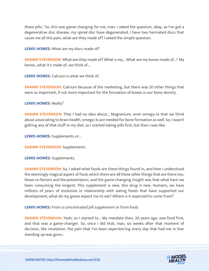these pills." So, this was game-changing for me, man. I asked the question, okay, so I've got a degenerative disc disease, my spinal disc have degenerated, I have two herniated discs that cause me all this pain, what are they made of? I asked the simple question.

**LEWIS HOWES:** What are my discs made of?

**SHAWN STEVENSON:** What are they made of? What is my... What are my bones made of...? My bones…what it's made of, we think of...

**LEWIS HOWES:** Calcium is what we think of.

**SHAWN STEVENSON:** Calcium because of the marketing, but there was 20 other things that were as important, if not more important for the formation of bones in our bone density.

# **LEWIS HOWES:** Really?

**SHAWN STEVENSON:** That I had no idea about... Magnesium, even omega-3s that we think about associating to brain health, omega-3s are needed for bone formation as well. So, I wasn't getting any of that stuff in my diet, so I started taking pills first, but then I was like.

**LEWIS HOWES:** Supplements or...

**SHAWN STEVENSON: Supplements.** 

**LEWIS HOWES:** Supplements.

**SHAWN STEVENSON:** So, I asked what foods are these things found in, and then I understood the seemingly magical aspect of food, which there are all these other things that are there too, these co-factors and bio-potentiators, and the game-changing insight was that what have we been consuming the longest. This supplement is new, this drug is new. Humans, we have millions of years of evolution in relationship with eating foods that have supported our development, what do my genes expect me to eat? Where is it expected to come from?

**LEWIS HOWES:** From a concentrated pill supplement or from food.

**SHAWN STEVENSON:** Yeah, so I started to... My mandate then, 20 years ago, was food first, and that was a game-changer. So, once I did that, man, six weeks after that moment of decision, like revelation, the pain that I've been experiencing every day that had me in fear standing up was gone...

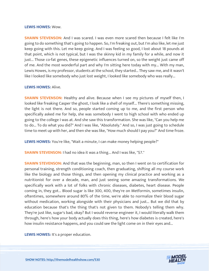#### **LEWIS HOWES:** Wow.

**SHAWN STEVENSON:** And I was scared. I was even more scared then because I felt like I'm going to do something that's going to happen. So, I'm freaking out, but I'm also like, let me just keep going with this. Let me keep going. And I was feeling so good, I lost about 18 pounds at that point, which is not typical, but I was the skinny kid in my family for a while, and now it just... Those co-fat genes, these epigenetic influences turned on, so the weight just came off of me. And the most wonderful part and why I'm sitting here today with my... With my man, Lewis Howes, is my professor, students at the school, they started... They saw me, and it wasn't like I looked like somebody who just lost weight, I looked like somebody who was really...

#### **LEWIS HOWES:** Alive.

**SHAWN STEVENSON:** Healthy and alive. Because when I see my pictures of myself then, I looked like freaking Casper the ghost, I look like a shell of myself... There's something missing, the light is not there. And so, people started coming up to me, and the first person who specifically asked me for help, she was somebody I went to high school with who ended up going to the college I was at. And she saw this transformation. She was like, "Can you help me to do... To do what you did?" And I was like, "Absolutely." And so, I was just going to schedule time to meet up with her, and then she was like, "How much should I pay you?" And time froze.

**LEWIS HOWES:** You're like, "Wait a minute, I can make money helping people?"

**SHAWN STEVENSON:** I had no idea it was a thing... And I was like, "\$7."

**SHAWN STEVENSON:** And that was the beginning, man, so then I went on to certification for personal training, strength conditioning coach, then graduating, shifting all my course work like the biology and those things, and then opening my clinical practice and working as a nutritionist for over a decade, man, and just seeing some amazing transformations. We specifically work with a lot of folks with chronic diseases, diabetes, heart disease. People coming in, they got... Blood sugar is like 300, 400, they're on Metformin, sometimes insulin, oftentimes, somewhere around 80% of the time, we're able to normalize their blood sugar without medication, working alongside with their physicians and just... But we did that by education because that's the thing that's not given to them. Nobody's telling them why. They're just like, sugar's bad, okay? But I would reverse engineer it, I would literally walk them through, here's how your body actually does this thing, here's how diabetes is created, here's how insulin resistance happens, and you could see the light come on in their eyes and...

**LEWIS HOWES:** It's a proper education.

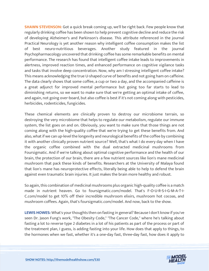**SHAWN STEVENSON:** Got a quick break coming up, we'll be right back. Few people know that regularly drinking coffee has been shown to help prevent cognitive decline and reduce the risk of developing Alzheimer's and Parkinson's disease. This attribute referenced in the journal Practical Neurology is yet another reason why intelligent coffee consumption makes the list of best neuro-nutritious beverages. Another study featured in the journal Psychopharmacology uncovered that drinking coffee has some remarkable benefits on mental performance. The research has found that intelligent coffee intake leads to improvements in alertness, improved reaction times, and enhanced performance on cognitive vigilance tasks and tasks that involve deep concentration. Now, why am I stressing intelligent coffee intake? This means acknowledging the true U-shaped curve of benefits and not going ham on caffeine. The data clearly shows that some coffee, a cup or two a day, and the accompanied caffeine is a great adjunct for improved mental performance but going too far starts to lead to diminishing returns, so we want to make sure that we're getting an optimal intake of coffee, and again, not going over-board, but also coffee is best if it's not coming along with pesticides, herbicides, rodenticides, fungicides.

These chemical elements are clinically proven to destroy our microbiome terrain, so destroying the very microbiome that helps to regulate our metabolism, regulate our immune system, the list goes on and on. Obviously, you want to make sure that those things are not coming along with the high-quality coffee that we're trying to get these benefits from. And also, what if we can up-level the longevity and neurological benefits of the coffee by combining it with another clinically proven nutrient source? Well, that's what I do every day when I have the organic coffee combined with the dual extracted medicinal mushrooms from Foursigmatic. And if we're talking about optimal cognitive performance and the health of our brain, the protection of our brain, there are a few nutrient sources like lion's mane medicinal mushroom that pack these kinds of benefits. Researchers at the University of Malaya found that lion's mane has neuroprotective effects, literally being able to help to defend the brain against even traumatic brain injuries. It just makes the brain more healthy and robust.

So again, this combination of medicinal mushrooms plus organic high-quality coffee is a match made in nutrient heaven. Go to foursigmatic.com/model. That's F-O-U-R-S-I-G-M-A-T-I-C.com/model to get 10% off their incredible mushroom elixirs, mushroom hot cocoas, and mushroom coffees. Again, that's foursigmatic.com/model. And now, back to the show.

**LEWIS HOWES:** What's your thoughts then on fasting in general? Because I don't know if you've seen Dr. Jason Fung's work, "The Obesity Code," "The Cancer Code," where he's talking about fasting a lot to reverse type 2 diabetes in a lot of his patients as part of the process or part of the treatment plan, I guess, is adding fasting into your life. How does that apply to things, to the hormones when we fast, whether it's a one-day fast, three-day fast, how does it apply to

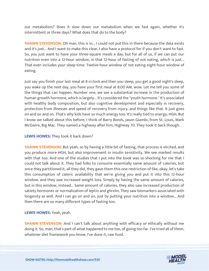our metabolism? Does it slow down our metabolism when we fast again, whether it's intermittent or three days? What does that do to the body?

**SHAWN STEVENSON:** Oh man, this is in... I could not put this in there because the data exists and it's just... And I want to make this clear, I also have a protocol for if you don't want to fast. So, you just want to have your three-square meals a day, but for all of us, if we can put our nutrition even into a 12-hour window, in that 12-hour of fasting of not eating, which is just... That even includes your sleep time. Twelve-hour window of not eating eight-hour window of eating.

Just say you finish your last meal at 8 o'clock and then you sleep, you get a good night's sleep, you wake up the next day, you have your first meal at 8:00 AM, wow. Let me tell you some of the things that can happen. Number one, we see a substantial increase in the production of human growth hormone, which is largely... It's considered the "youth hormone." It's associated with healthy body composition, but also cognitive development and especially in recovery, protection from illnesses and speed of recovery from injury, and things like that. It just goes on and on and on. That's why kids have so much energy too. It's really tied to energy, HGH. But I know we talked about this before, I think of Barry Bonds, Jason Giambi, from St. Louis, Mark McGwire, Big Mac. They named a highway after him, Highway 70. They took it back though.

# **LEWIS HOWES:** They took it back down?

**SHAWN STEVENSON:** But yeah, so by having a little bit of fasting, that process is elicited, and you produce more HGH, but also improvement in insulin sensitivity. We see marked results with that too. And one of the studies that I put into the book was so shocking for me that I could not talk about it. They had folks to consume essentially same amount of calories, but once they partitioned it, all they did, they gave them this one restriction of like, okay, let's take this consumption of caloric availability that we're giving you and put it into this 12-hour window, and they saw increased weight loss. Simply by having the same amount of calories, but in this window, instead... Same amount of calories, they also saw increased production of satiety hormones or normalization of leptin and ghrelin. They saw biomarkers associated with longevity as well. And I can go on and on, just by putting your nutrition into a window... And then there are so many different types of fasting too.

**LEWIS HOWES:** Yeah, yeah.

**SHAWN STEVENSON:** And I can't talk about anything with efficacy or ethically without me doing it. So, man, that's part of what happened to me too, of going too far. I've tried all of them, whatever diet framework you know, I've done it, raw food.

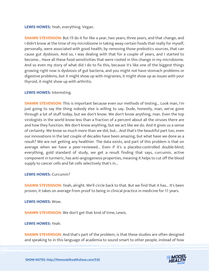#### **LEWIS HOWES:** Yeah, everything. Vegan.

**SHAWN STEVENSON:** But I'll do it for like a year, two years, three years, and that change, and I didn't know at the time of my microbiome in taking away certain foods that really for myself, personally, were associated with good health, by removing those prebiotics sources, that can cause gut dysbiosis. And so, I was dealing with that for a couple of years, and I started to become... Have all these food sensitivities that were rooted in this change in my microbiome. And so even my story of what did I do to fix this, because it's like one of the biggest things growing right now is dysbiosis of gut bacteria, and you might not have stomach problems or digestive problems, but it might show up with migraines, it might show up as issues with your thyroid, it might show up with arthritis.

#### **LEWIS HOWES:** Interesting.

**SHAWN STEVENSON:** This is important because even our methods of testing... Look man, I'm just going to say the thing nobody else is willing to say. Dude, honestly, man, we've gone through a lot of stuff today, but we don't know. We don't know anything, man. Even the top virologists in the world know less than a fraction of a percent about all the viruses there are and how they function. We don't know anything, but we act like we do. And it gives us a sense of certainty. We know so much more than we did, but... And that's the beautiful part too, even our innovations in the last couple of decades have been amazing, but what have we done as a result? We are not getting any healthier. The data exists, and part of this problem is that on average when we have a peer-reviewed... Even if it's a placebo-controlled double-blind, everything, gold standard of study, we get a result finding that says, curcumin, active component in turmeric, has anti-angiogenesis properties, meaning it helps to cut off the blood supply to cancer cells and fat cells selectively that's in...

#### **LEWIS HOWES:** Curcumin?

**SHAWN STEVENSON:** Yeah, alright. We'll circle back to that. But we find that it has... It's been proven, it takes on average from proof to being in clinical practice in medicine for 17 years.

**LEWIS HOWES:** Wow.

**SHAWN STEVENSON:** We don't get that kind of time, Lewis.

#### **LEWIS HOWES:** Yeah.

**SHAWN STEVENSON:** And that's part of the problem, is that these studies are often designed and speaking to in this language of academia to sound smart to other people, instead of how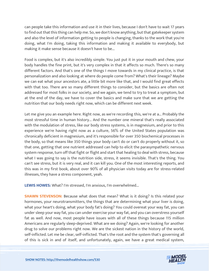can people take this information and use it in their lives, because I don't have to wait 17 years to find out that this thing can help me. So, we don't know anything, but that gatekeeper system and also the level of information getting to people is changing, thanks to the work that you're doing, what I'm doing, taking this information and making it available to everybody, but making it make sense because it doesn't have to be...

Food is complex, but it's also incredibly simple. You just put it in your mouth and chew, your body handles the fine print, but it's very complex in that it affects so much. There's so many different factors. And that's one of the things I move towards in my clinical practice, is that personalization and also looking at where do people come from? What's their lineage? Maybe we can eat what your ancestors ate, a little bit more like that, and I would find great effects with that too. There are so many different things to consider, but the basics are often not addressed for most folks in our society, and we again, we tend to try to treat a symptom, but at the end of the day, we have to cover the basics and make sure that we are getting the nutrition that our body needs right now, which can be different next week.

Let me give you an example here. Right now, as we're recording this, we're at a... Probably the most stressful time in human history... And the number one mineral that's really associated with the modulation of stress, like our body stress systems, is in magnesium, and prior to this experience we're having right now as a culture, 56% of the United States population was chronically deficient in magnesium, and it's responsible for over 350 biochemical processes in the body, so that means like 350 things your body can't do or can't do properly without it, so that one, getting that one nutrient addressed can help to elicit the parasympathetic nervous system response, turn off that fight or flight and start that healing to deal with stress, because what I was going to say is the nutrition side, stress, it seems invisible. That's the thing. You can't see stress, but it is very real, and it can kill you. One of the most interesting reports, and this was in my first book, about over 90% of all physician visits today are for stress-related illnesses, they have a stress component, yeah.

**LEWIS HOWES:** What? I'm stressed, I'm anxious, I'm overwhelmed...

**SHAWN STEVENSON:** Because what does that mean? What is it doing? Is this related your hormones, your neurotransmitters, the things that are determining what your liver is doing, what your heart's doing, what your body fat's doing? You could overeat your way fat, you can under sleep your way fat, you can under exercise your way fat, and you can overstress yourself fat as well. And now, most people have issues with all of these things because 115 million Americans are regularly sleep-deprived. What are we doing? Again, we're looking for another drug to solve our problems right now. We are the sickest nation in the history of the world, self-inflicted. Let me be clear, self-inflicted. That's the root and the system that's governing all of this is sick in and of itself, and unfortunately, again, we have a great medical system,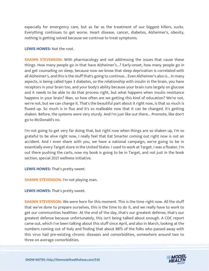especially for emergency care, but as far as the treatment of our biggest killers, sucks. Everything continues to get worse. Heart disease, cancer, diabetes, Alzheimer's, obesity, nothing is getting solved because we continue to treat symptoms.

#### **LEWIS HOWES:** Not the root.

**SHAWN STEVENSON:** With pharmacology and not addressing the issues that cause these things. How many people go in that have Alzheimer's...? Early-onset, how many people go in and get counseling on sleep, because now we know that sleep deprivation is correlated with all Alzheimer's, and this is the stuff that's going to continue... Even Alzheimer's also is... In many aspects, is being called type 3 diabetes, so the relationship with insulin in the brain, you have receptors in your brain too, and your body's ability because your brain runs largely on glucose and it needs to be able to do that process right, but what happens when insulin resistance happens in your brain? Man, so how often are we getting this kind of education? We're not, we're not, but we can change it. That's the beautiful part about it right now, is that so much is fluxed up. So much is in flux and it's so malleable now that it can be changed. It's getting shaken. Before, the systems were very sturdy. And I'm just like out there... Promote, like don't go to McDonald's no.

I'm not going to get very far doing that, but right now when things are so shaken up, I'm so grateful to be alive right now, I really feel that Eat Smarter coming out right now is not an accident. And I even share with you, we have a national campaign, we're going to be in essentially every Target store in the United States. I used to work at Target. I was a floater, I'm out there pushing the carts, now my book is going to be in Target, and not just in the book section, special 2021 wellness initiative.

**LEWIS HOWES:** That's pretty sweet.

**SHAWN STEVENSON:** I'm not playing man.

**LEWIS HOWES:** That's pretty sweet.

**SHAWN STEVENSON:** We were born for this moment. This is the time right now. All the stuff that we've done to prepare ourselves, this is the time to do it, and we really have to work to get our communities healthier. At the end of the day, that's our greatest defense, that's our greatest defense because unfortunately, this isn't being talked about enough. A CDC report came out, which I've been talking about this stuff since April, and also in March, looking at the numbers coming out of Italy and finding that about 88% of the folks who passed away with this virus had pre-existing chronic diseases and comorbidities, somewhere around two to three on average comorbidities.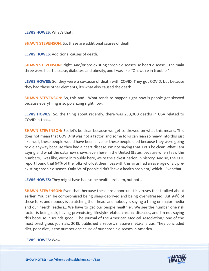#### **LEWIS HOWES:** What's that?

**SHAWN STEVENSON:** So, these are additional causes of death.

**LEWIS HOWES:** Additional causes of death.

**SHAWN STEVENSON:** Right. And/or pre-existing chronic diseases, so heart disease... The main three were heart disease, diabetes, and obesity, and I was like, "Oh, we're in trouble."

**LEWIS HOWES:** So, they were a co-cause of death with COVID. They got COVID, but because they had these other elements, it's what also caused the death.

**SHAWN STEVENSON:** So, this and... What tends to happen right now is people get skewed because everything is so polarizing right now.

**LEWIS HOWES:** So, the thing about recently, there was 250,000 deaths in USA related to COVID, is that...

**SHAWN STEVENSON:** So, let's be clear because we get so skewed on what this means. This does not mean that COVID-19 was not a factor, and some folks can lean so heavy into this just like, well, these people would have been alive, or these people died because they were going to die anyway because they had a heart disease, I'm not saying that. Let's be clear. What I am saying and what the data now shows, even here in the United States, because when I saw the numbers, I was like, we're in trouble here, we're the sickest nation in history. And so, the CDC report found that 94% of the folks who lost their lives with this virus had an average of 2.6 preexisting chronic diseases. Only 6% of people didn't "have a health problem," which... Even that...

**LEWIS HOWES:** They might have had some health problem, but not...

**SHAWN STEVENSON:** Even that, because these are opportunistic viruses that I talked about earlier. You can be compromised being sleep-deprived and being over-stressed. But 94% of these folks and nobody is scratching their head, and nobody is saying a thing on major media and our health leaders... We have to get our people healthier. We see the number one risk factor is being sick, having pre-existing lifestyle-related chronic diseases, and I'm not saying this because it sounds good. "The Journal of the American Medical Association," one of the most prestigious journals, 2018, published a report, massive meta-analysis. They concluded diet, poor diet, is the number one cause of our chronic diseases in America.

#### **LEWIS HOWES:** Wow.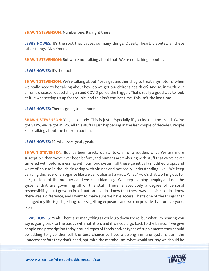**SHAWN STEVENSON:** Number one. It's right there.

**LEWIS HOWES:** It's the root that causes so many things: Obesity, heart, diabetes, all these other things. Alzheimer's.

**SHAWN STEVENSON:** But we're not talking about that. We're not talking about it.

**LEWIS HOWES:** It's the root.

**SHAWN STEVENSON:** We're talking about, "Let's get another drug to treat a symptom," when we really need to be talking about how do we get our citizens healthier? And so, in truth, our chronic diseases loaded the gun and COVID pulled the trigger. That's really a good way to look at it. It was setting us up for trouble, and this isn't the last time. This isn't the last time.

**LEWIS HOWES:** There's going to be more.

**SHAWN STEVENSON:** Yes, absolutely. This is just... Especially if you look at the trend. We've got SARS, we've got MERS. All this stuff is just happening in the last couple of decades. People keep talking about the flu from back in...

**LEWIS HOWES:** 19, whatever, yeah, yeah.

**SHAWN STEVENSON:** But it's been pretty quiet. Now, all of a sudden, why? We are more susceptible than we've ever been before, and humans are tinkering with stuff that we've never tinkered with before, messing with our food system, all these genetically modified crops, and we're of course in the lab tinkering with viruses and not really understanding like... We keep carrying this level of arrogance like we can outsmart a virus. What? How's that working out for us? Just look at the numbers and we keep blaming... We keep blaming people, and not the systems that are governing all of this stuff. There is absolutely a degree of personal responsibility, but I grew up in a situation... I didn't know that there was a choice, I didn't know there was a difference, and I want to make sure we have access. That's one of the things that changed my life, is just getting access, getting exposure, and we can provide that for everyone, truly.

**LEWIS HOWES:** Yeah. There's so many things I could go down there, but what I'm hearing you say is going back to the basics with nutrition, and if we could go back to the basics, if we give people one prescription today around types of foods and/or types of supplements they should be adding to give themself the best chance to have a strong immune system, burn the unnecessary fats they don't need, optimize the metabolism, what would you say we should be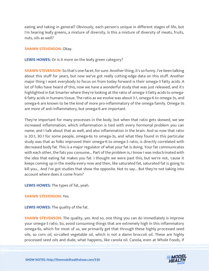eating and taking in general? Obviously, each person's unique in different stages of life, but I'm hearing leafy greens, a mixture of diversity. Is this a mixture of diversity of meats, fruits, nuts, oils as well?

**SHAWN STEVENSON: Okay.** 

**LEWIS HOWES:** Or is it more on the leafy green category?

**SHAWN STEVENSON:** So that's one facet, for sure. Another thing, it's so funny. I've been talking about this stuff for years, but now we've got really cutting-edge data on this stuff. Another major thing I want everybody to focus on from today forward is their omega-3 fatty acids. A lot of folks have heard of this, now we have a wonderful study that was just released, and it's highlighted in Eat Smarter where they're looking at the ratio of omega-3 fatty acids to omega-6 fatty acids in humans tissue. The ratio as we evolve was about 3:1, omega-6 to omega-3s, and omega-6 are known to be the kind of more pro-inflammatory of the omega family. Omega-3s are more of anti-inflammatory, but omega-6 are important.

They're important for many processes in the body, but when that ratio gets skewed, we see increased inflammation, which inflammation is tied with every hormonal problem you can name, and I talk about that as well, and also inflammation in the brain. And so now that ratio is 20:1, 30:1 for some people, omega-6s to omega-3s, and what they found in this particular study was that as folks improved their omega-6 to omega-3 ratio, is directly correlated with decreased body fat. This is a major regulator of what your fat is doing. Your fat communicates with each other, the fats you consume... Part of the problem is, I know I was indoctrinated with the idea that eating fat makes you fat. I thought we were past this, but we're not, 'cause it keeps coming up in the media every now and then, like saturated fat, saturated fat is going to kill you... And I've got studies that show the opposite. Not to say... But they're not taking into account where does it come from?

**LEWIS HOWES:** The types of fat, yeah.

**SHAWN STEVENSON:** Yes.

**LEWIS HOWES:** The quality of the fat.

**SHAWN STEVENSON:** The quality, yes. And so, one thing you can do immediately is improve your omega-3 ratio. So, avoid consuming things that are extremely high in this inflammatory omega-6s, which for most of us, we primarily get that through these highly processed seed oils, so corn oil, so-called vegetable oil, which is not a damn broccoli oil. These are highly processed seed oils and dude, what happens, like canola oil. Canola, even at Whole Foods, if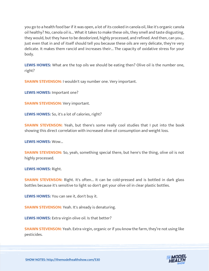you go to a health food bar if it was open, a lot of its cooked in canola oil, like it's organic canola oil healthy? No, canola oil is... What it takes to make these oils, they smell and taste disgusting, they would, but they have to be deodorized, highly processed, and refined. And then, can you... Just even that in and of itself should tell you because these oils are very delicate, they're very delicate. It makes them rancid and increases their... The capacity of oxidative stress for your body.

**LEWIS HOWES:** What are the top oils we should be eating then? Olive oil is the number one, right?

**SHAWN STEVENSON: I** wouldn't say number one. Very important.

**LEWIS HOWES:** Important one?

**SHAWN STEVENSON: Very important.** 

**LEWIS HOWES:** So, it's a lot of calories, right?

**SHAWN STEVENSON:** Yeah, but there's some really cool studies that I put into the book showing this direct correlation with increased olive oil consumption and weight loss.

**LEWIS HOWES:** Wow...

**SHAWN STEVENSON:** So, yeah, something special there, but here's the thing, olive oil is not highly processed.

**LEWIS HOWES:** Right.

**SHAWN STEVENSON:** Right. It's often... It can be cold-pressed and is bottled in dark glass bottles because it's sensitive to light so don't get your olive oil in clear plastic bottles.

**LEWIS HOWES:** You can see it, don't buy it.

**SHAWN STEVENSON:** Yeah. It's already is denaturing.

**LEWIS HOWES:** Extra virgin olive oil. Is that better?

**SHAWN STEVENSON:** Yeah. Extra virgin, organic or if you know the farm, they're not using like pesticides.

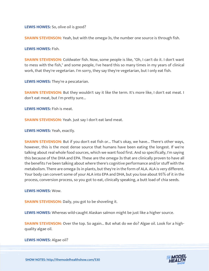**LEWIS HOWES:** So, olive oil is good?

**SHAWN STEVENSON:** Yeah, but with the omega-3s, the number one source is through fish.

**LEWIS HOWES:** Fish.

**SHAWN STEVENSON:** Coldwater fish. Now, some people is like, "Oh, I can't do it. I don't want to mess with the fish," and some people, I've heard this so many times in my years of clinical work, that they're vegetarian. I'm sorry, they say they're vegetarian, but I only eat fish.

**LEWIS HOWES:** They're a pescatarian.

**SHAWN STEVENSON:** But they wouldn't say it like the term. It's more like, I don't eat meat. I don't eat meat, but I'm pretty sure...

**LEWIS HOWES:** Fish is meat.

**SHAWN STEVENSON:** Yeah. Just say I don't eat land meat.

**LEWIS HOWES:** Yeah, exactly.

**SHAWN STEVENSON:** But if you don't eat fish or... That's okay, we have... There's other ways, however, this is the most dense source that humans have been eating the longest. If we're talking about real whole food sources, which we want food first. And so specifically, I'm saying this because of the DHA and EPA. These are the omega-3s that are clinically proven to have all the benefits I've been talking about where there's cognitive performance and/or stuff with the metabolism. There are omega-3s in plants, but they're in the form of ALA. ALA is very different. Your body can convert some of your ALA into EPA and DHA, but you lose about 95% of it in the process, conversion process, so you got to eat, clinically speaking, a butt load of chia seeds.

**LEWIS HOWES:** Wow.

**SHAWN STEVENSON:** Daily, you got to be shoveling it.

**LEWIS HOWES:** Whereas wild-caught Alaskan salmon might be just like a higher source.

**SHAWN STEVENSON:** Over the top. So again... But what do we do? Algae oil. Look for a highquality algae oil.

**LEWIS HOWES:** Algae oil?

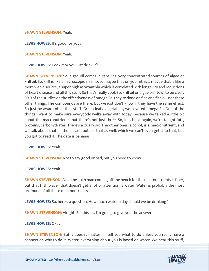**SHAWN STEVENSON:** Yeah.

**LEWIS HOWES:** It's good for you?

**SHAWN STEVENSON:** Yeah.

**LEWIS HOWES:** Cook it or you just drink it?

**SHAWN STEVENSON:** So, algae oil comes in capsules, very concentrated sources of algae or krill oil. So, krill is like a microscopic shrimp, so maybe that on your ethics, maybe that is like a more viable source, a super high astaxanthin which is correlated with longevity and reductions of heart disease and all this stuff. So that's really cool. So, krill oil or algae oil. Now, to be clear, 99.9 of the studies on the effectiveness of omega-3s, they're done on fish and fish oil, not these other things. The compounds are there, but we just don't know if they have the same effect. So just be aware of all that stuff. Green leafy vegetables, we covered omega-3s. One of the things I want to make sure everybody walks away with today, because we talked a little bit about the macronutrients, but there's not just three. So, in school, again, we're taught fats, proteins, carbohydrates. There's actually six. The other ones, alcohol, is a macronutrient, and we talk about that all the ins and outs of that as well, which we can't even get it to that, but you got to read it. The data is bananas.

**LEWIS HOWES:** Yeah.

**SHAWN STEVENSON:** Not to say good or bad, but you need to know.

**LEWIS HOWES:** Yeah.

**SHAWN STEVENSON:** Also, the sixth man coming off the bench for the macronutrients is fiber, but that fifth player that doesn't get a lot of attention is water. Water is probably the most profound of all these macronutrients.

**LEWIS HOWES:** So, here's a question. How much water a day should we be drinking?

**SHAWN STEVENSON:** Alright. So, this is... I'm going to give you the answer.

#### **LEWIS HOWES:** Okay.

**SHAWN STEVENSON:** But it doesn't matter if I tell you what to do unless you really have a connection why to do it. Water, everything about you is based on water. We hear this stuff,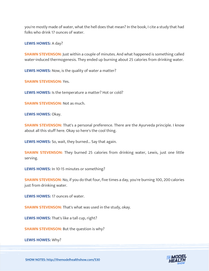you're mostly made of water, what the hell does that mean? In the book, I cite a study that had folks who drink 17 ounces of water.

**LEWIS HOWES:** A day?

**SHAWN STEVENSON:** Just within a couple of minutes. And what happened is something called water-induced thermogenesis. They ended up burning about 25 calories from drinking water.

**LEWIS HOWES:** Now, is the quality of water a matter?

**SHAWN STEVENSON:** Yes.

**LEWIS HOWES:** Is the temperature a matter? Hot or cold?

**SHAWN STEVENSON: Not as much.** 

**LEWIS HOWES:** Okay.

**SHAWN STEVENSON:** That's a personal preference. There are the Ayurveda principle. I know about all this stuff here. Okay so here's the cool thing.

**LEWIS HOWES:** So, wait, they burned... Say that again.

**SHAWN STEVENSON:** They burned 25 calories from drinking water, Lewis, just one little serving.

**LEWIS HOWES:** In 10-15 minutes or something?

**SHAWN STEVENSON:** No, if you do that four, five times a day, you're burning 100, 200 calories just from drinking water.

**LEWIS HOWES:** 17 ounces of water.

**SHAWN STEVENSON:** That's what was used in the study, okay.

**LEWIS HOWES:** That's like a tall cup, right?

**SHAWN STEVENSON:** But the question is why?

**LEWIS HOWES:** Why?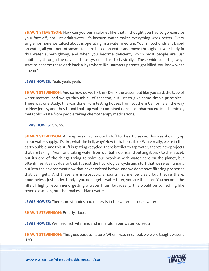**SHAWN STEVENSON:** How can you burn calories like that? I thought you had to go exercise your face off, not just drink water. It's because water makes everything work better. Every single hormone we talked about is operating in a water medium. Your mitochondria is based on water, all your neurotransmitters are based on water and move throughout your body in this water superhighway, and when you become deficient, which most people are just habitually through the day, all these systems start to basically... These wide superhighways start to become these dark back alleys where like Batman's parents got killed, you know what I mean?

**LEWIS HOWES:** Yeah, yeah, yeah.

**SHAWN STEVENSON:** And so how do we fix this? Drink the water, but like you said, the type of water matters, and we go through all of that too, but just to give some simple principles... There was one study, this was done from testing houses from southern California all the way to New Jersey, and they found that tap water contained dozens of pharmaceutical chemicals, metabolic waste from people taking chemotherapy medications.

#### **LEWIS HOWES:** Oh, no.

**SHAWN STEVENSON:** Antidepressants, lisinopril, stuff for heart disease. This was showing up in our water supply. It's like, what the hell, why? How is that possible? We're really, we're in this earth bubble, and this stuff is getting recycled, there is toilet to tap water, there's new projects that are taking... Yeah, and taking water from our bathrooms and putting it back to the faucet, but it's one of the things trying to solve our problem with water here on the planet, but oftentimes, it's not due to that. It's just the hydrological cycle and stuff that we're as humans put into the environment now that never existed before, and we don't have filtering processes that can get... And these are microscopic amounts, let me be clear, but they're there, nonetheless. Just understand, if you don't get a water filter, you are the filter. You become the filter. I highly recommend getting a water filter, but ideally, this would be something like reverse osmosis, but that makes it blank water.

**LEWIS HOWES:** There's no vitamins and minerals in the water. It's dead water.

**SHAWN STEVENSON: Exactly, dude.** 

**LEWIS HOWES:** We need rich vitamins and minerals in our water, correct?

**SHAWN STEVENSON:** This goes back to nature. When I was in school, we were taught water's H2O.

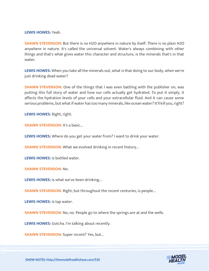**LEWIS HOWES:** Yeah.

**SHAWN STEVENSON:** But there is no H2O anywhere in nature by itself. There is no plain H2O anywhere in nature. It's called the universal solvent. Water's always combining with other things and that's what gives water this character and structure, is the minerals that's in that water.

**LEWIS HOWES:** When you take all the minerals out, what is that doing to our body, when we're just drinking dead water?

**SHAWN STEVENSON:** One of the things that I was even battling with the publisher on, was putting this full story of water and how our cells actually get hydrated. To put it simply, it affects the hydration levels of your cells and your extracellular fluid. And it can cause some serious problems, but what if water has too many minerals, like ocean water? It'll kill you, right?

**LEWIS HOWES:** Right, right.

**SHAWN STEVENSON: It's a basic...** 

**LEWIS HOWES:** Where do you get your water from? I want to drink your water.

**SHAWN STEVENSON:** What we evolved drinking in recent history...

**LEWIS HOWES:** Is bottled water.

**SHAWN STEVENSON:** No.

**LEWIS HOWES:** Is what we've been drinking...

**SHAWN STEVENSON:** Right, but throughout the recent centuries, is people...

**LEWIS HOWES:** Is tap water.

**SHAWN STEVENSON:** No, no. People go to where the springs are at and the wells.

**LEWIS HOWES:** Gotcha. I'm talking about recently.

**SHAWN STEVENSON:** Super recent? Yes, but...

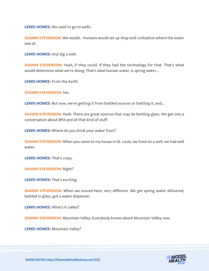**LEWIS HOWES:** We used to go to wells.

**SHAWN STEVENSON:** We would... Humans would set up shop and civilization where the water was at.

**LEWIS HOWES:** And dig a well.

**SHAWN STEVENSON:** Yeah, if they could. If they had the technology for that. That's what would determine what we're doing. That's ideal human water, is spring water...

**LEWIS HOWES:** From the Earth.

**SHAWN STEVENSON:** Yes.

**LEWIS HOWES:** But now, we're getting it from bottled sources or bottling it, and...

**SHAWN STEVENSON:** Yeah. There are great sources that may be bottling glass. We get into a conversation about BPA and all that kind of stuff.

**LEWIS HOWES:** Where do you drink your water from?

**SHAWN STEVENSON:** When you came to my house in St. Louis, we lived on a well, we had well water.

**LEWIS HOWES:** That's crazy.

**SHAWN STEVENSON: Right?** 

**LEWIS HOWES:** That's exciting.

**SHAWN STEVENSON:** When we moved here, very different. We get spring water delivered, bottled in glass, got a water dispenser.

**LEWIS HOWES:** What's it called?

**SHAWN STEVENSON:** Mountain Valley. Everybody knows about Mountain Valley now.

**LEWIS HOWES:** Mountain Valley?

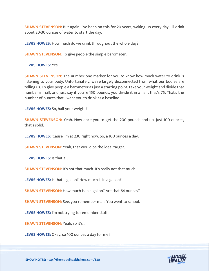**SHAWN STEVENSON:** But again, I've been on this for 20 years, waking up every day, I'll drink about 20-30 ounces of water to start the day.

**LEWIS HOWES:** How much do we drink throughout the whole day?

**SHAWN STEVENSON:** To give people the simple barometer...

**LEWIS HOWES:** Yes.

**SHAWN STEVENSON:** The number one marker for you to know how much water to drink is listening to your body. Unfortunately, we're largely disconnected from what our bodies are telling us. To give people a barometer as just a starting point, take your weight and divide that number in half, and just say if you're 150 pounds, you divide it in a half, that's 75. That's the number of ounces that I want you to drink as a baseline.

**LEWIS HOWES:** So, half your weight?

**SHAWN STEVENSON:** Yeah. Now once you to get the 200 pounds and up, just 100 ounces, that's solid.

**LEWIS HOWES:** 'Cause I'm at 230 right now. So, a 100 ounces a day.

**SHAWN STEVENSON:** Yeah, that would be the ideal target.

**LEWIS HOWES:** Is that a...

**SHAWN STEVENSON:** It's not that much. It's really not that much.

**LEWIS HOWES:** Is that a gallon? How much is in a gallon?

**SHAWN STEVENSON:** How much is in a gallon? Are that 64 ounces?

**SHAWN STEVENSON:** See, you remember man. You went to school.

**LEWIS HOWES:** I'm not trying to remember stuff.

**SHAWN STEVENSON: Yeah, so it's...** 

**LEWIS HOWES:** Okay, so 100 ounces a day for me?

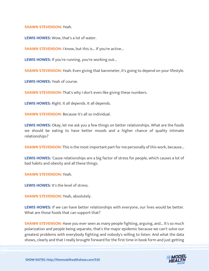**SHAWN STEVENSON:** Yeah.

**LEWIS HOWES:** Wow, that's a lot of water.

**SHAWN STEVENSON: I know, but this is... If you're active...** 

LEWIS HOWES: If you're running, you're working out...

**SHAWN STEVENSON:** Yeah. Even giving that barometer, it's going to depend on your lifestyle.

**LEWIS HOWES:** Yeah of course.

**SHAWN STEVENSON:** That's why I don't even like giving these numbers.

**LEWIS HOWES:** Right. It all depends. It all depends.

**SHAWN STEVENSON: Because it's all so individual.** 

**LEWIS HOWES:** Okay, let me ask you a few things on better relationships. What are the foods we should be eating to have better moods and a higher chance of quality intimate relationships?

**SHAWN STEVENSON:** This is the most important part for me personally of this work, because...

**LEWIS HOWES:** 'Cause relationships are a big factor of stress for people, which causes a lot of bad habits and obesity and all these things.

**SHAWN STEVENSON:** Yeah.

**LEWIS HOWES:** It's the level of stress.

**SHAWN STEVENSON: Yeah, absolutely.** 

**LEWIS HOWES:** If we can have better relationships with everyone, our lives would be better. What are those foods that can support that?

**SHAWN STEVENSON:** Have you ever seen as many people fighting, arguing, and... It's so much polarization and people being separate, that's the major epidemic because we can't solve our greatest problems with everybody fighting and nobody's willing to listen. And what the data shows, clearly and that I really brought forward for the first time in book form and just getting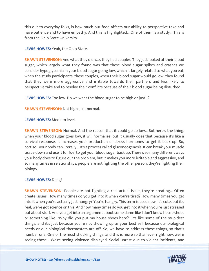this out to everyday folks, is how much our food affects our ability to perspective take and have patience and to have empathy. And this is highlighted... One of them is a study... This is from the Ohio State University.

**LEWIS HOWES:** Yeah, the Ohio State.

**SHAWN STEVENSON:** And what they did was they had couples. They just looked at their blood sugar, which largely what they found was that these blood sugar spikes and crashes we consider hypoglycemia in your blood sugar going low, which is largely related to what you eat, when the study participants, these couples, when their blood sugar would go low, they found that they were more aggressive and irritable towards their partners and less likely to perspective take and to resolve their conflicts because of their blood sugar being disturbed.

**LEWIS HOWES:** Too low. Do we want the blood sugar to be high or just...?

**SHAWN STEVENSON:** Not high, just normal.

**LEWIS HOWES:** Medium level.

**SHAWN STEVENSON:** Normal. And the reason that it could go so low... But here's the thing, when your blood sugar goes low, it will normalize, but it usually does that because it's like a survival response. It increases your production of stress hormones to get it back up. So, cortisol, your body can literally... It's a process called gluconeogenesis. It can break your muscle tissue down and use it for fuel to get your blood sugar back up. There's so many different ways your body does to figure out the problem, but it makes you more irritable and aggressive, and so many times in relationships, people are not fighting the other person, they're fighting their biology.

# **LEWIS HOWES:** Dang!

**SHAWN STEVENSON:** People are not fighting a real actual issue, they're creating... Often create issues. How many times do you get into it when you're tired? How many times you get into it when you're actually just hungry? You're hangry. This term is used now, it's cute, but it's real, we've got science on this. And how many times do you get into it when you're just stressed out about stuff. And you get into an argument about some damn like I don't know house shoes or something like, "Why did you put my house shoes here?" It's like some of the stupidest things, and it's just because you're not showing up as your best self because our biological needs or our biological thermostats are off. So, we have to address these things, so that's number one. One of the most shocking things, and this is more so than ever right now, we're seeing these... We're seeing violence displayed. Social unrest due to violent incidents, and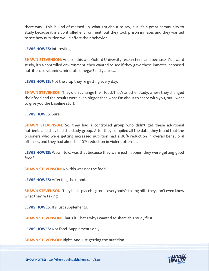there was... This is kind of messed up, what I'm about to say, but it's a great community to study because it is a controlled environment, but they took prison inmates and they wanted to see how nutrition would affect their behavior.

**LEWIS HOWES:** Interesting.

**SHAWN STEVENSON:** And so, this was Oxford University researchers, and because it's a ward study, it's a controlled environment, they wanted to see if they gave these inmates increased nutrition, so vitamins, minerals, omega-3 fatty acids...

**LEWIS HOWES:** Not the crap they're getting every day.

**SHAWN STEVENSON:** They didn't change their food. That's another study, where they changed their food and the results were even bigger than what I'm about to share with you, but I want to give you the baseline stuff.

#### **LEWIS HOWES:** Sure.

**SHAWN STEVENSON:** So, they had a controlled group who didn't get these additional nutrients and they had the study group. After they compiled all the data, they found that the prisoners who were getting increased nutrition had a 30% reduction in overall behavioral offenses, and they had almost a 40% reduction in violent offenses.

**LEWIS HOWES:** Wow. Now, was that because they were just happier, they were getting good food?

**SHAWN STEVENSON:** No, this was not the food.

**LEWIS HOWES:** Affecting the mood.

**SHAWN STEVENSON:** They had a placebo group, everybody's taking pills, they don't even know what they're taking.

**LEWIS HOWES:** It's just supplements.

**SHAWN STEVENSON:** That's it. That's why I wanted to share this study first.

**LEWIS HOWES:** Not food. Supplements only.

**SHAWN STEVENSON:** Right. And just getting the nutrition.

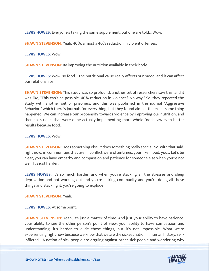**LEWIS HOWES:** Everyone's taking the same supplement, but one are told... Wow.

**SHAWN STEVENSON:** Yeah. 40%, almost a 40% reduction in violent offenses.

**LEWIS HOWES:** Wow.

**SHAWN STEVENSON:** By improving the nutrition available in their body.

**LEWIS HOWES:** Wow, so food... The nutritional value really affects our mood, and it can affect our relationships.

**SHAWN STEVENSON:** This study was so profound, another set of researchers saw this, and it was like, "This can't be possible. 40% reduction in violence? No way." So, they repeated the study with another set of prisoners, and this was published in the journal "Aggressive Behavior," which there's journals for everything, but they found almost the exact same thing happened. We can increase our propensity towards violence by improving our nutrition, and then so, studies that were done actually implementing more whole foods saw even better results because food...

#### **LEWIS HOWES:** Wow.

**SHAWN STEVENSON:** Does something else. It does something really special. So, with that said, right now, in communities that are in conflict were oftentimes, your likelihood, you... Let's be clear, you can have empathy and compassion and patience for someone else when you're not well. It's just harder.

LEWIS HOWES: It's so much harder, and when you're stacking all the stresses and sleep deprivation and not working out and you're lacking community and you're doing all these things and stacking it, you're going to explode.

**SHAWN STEVENSON:** Yeah.

**LEWIS HOWES:** At some point.

**SHAWN STEVENSON:** Yeah, it's just a matter of time. And just your ability to have patience, your ability to see the other person's point of view, your ability to have compassion and understanding, it's harder to elicit those things, but it's not impossible. What we're experiencing right now because we know that we are the sickest nation in human history, selfinflicted... A nation of sick people are arguing against other sick people and wondering why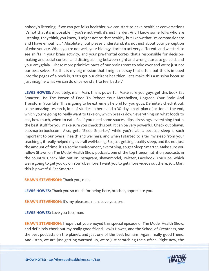nobody's listening. If we can get folks healthier, we can start to have healthier conversations It's not that it's impossible if you're not well, it's just harder. And I know some folks who are listening, they think, you know, "I might not be that healthy, but I know that I'm compassionate and I have empathy... " Absolutely, but please understand, it's not just about your perception of who you are. When you're not well, your biology starts to act very different, and we start to see shifts in your brain activity, and your pre-frontal cortex that's responsible for decisionmaking and social control, and distinguishing between right and wrong starts to go cold, and your amygdala... These more primitive parts of our brains start to take over and we're just not our best selves. So, this is my big mission that I might not say that often, but this is imbued into the pages of a book is, "Let's get our citizens healthier. Let's make this a mission because just imagine what we can do once we start to feel better."

**LEWIS HOWES:** Absolutely, man. Man, this is powerful. Make sure you guys get this book Eat Smarter: Use The Power of Food To Reboot Your Metabolism, Upgrade Your Brain And Transform Your Life. This is going to be extremely helpful for you guys. Definitely check it out, some amazing research, lots of studies in here, and a 30-day smart plan of action at the end, which you're going to really want to take on, which breaks down everything on what foods to eat, how much, when to eat... So, if you need some sauces, dips, dressings, everything that is the best stuff for you, make sure you check this out. It can be very powerful. Check out Shawn, eatsmarterbook.com. Also, gets "Sleep Smarter," while you're at it, because sleep is such important to our overall health and wellness, and when I started to alter my sleep from your teachings, it really helped my overall well-being. So, just getting quality sleep, and it's not just the amount of time, it's also the environment, everything, so get Sleep Smarter. Make sure you follow Shawn on The Model Health Show podcast, one of the top fitness nutrition podcasts in the country. Check him out on Instagram, shawnmodel, Twitter, Facebook, YouTube, which we're going to get you up on YouTube more. I want you to get more videos out there, so... Man, this is powerful. Eat Smarter.

**SHAWN STEVENSON: Thank you, man.** 

**LEWIS HOWES:** Thank you so much for being here, brother, appreciate you.

**SHAWN STEVENSON:** It's my pleasure, man. Love you, bro.

**LEWIS HOWES:** Love you too, man.

**SHAWN STEVENSON:** I hope that you enjoyed this special episode of The Model Health Show, and definitely check out my really good friend, Lewis Howes, and the School of Greatness, one the best podcasts on the planet, and just one of the best humans. Again, really good friend. And listen, we are just getting warmed up, we're just scratching the surface. Right now, the